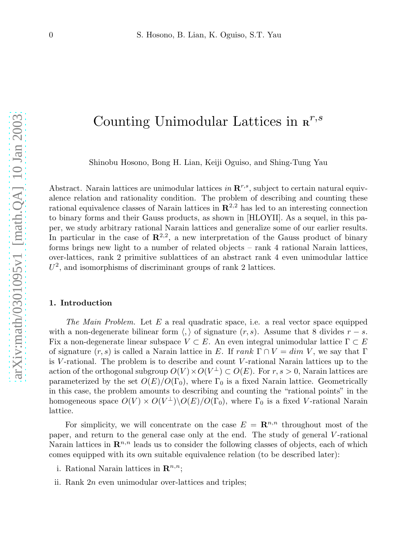# Counting Unimodular Lattices in  $\mathbf{R}^{r,s}$

Shinobu Hosono, Bong H. Lian, Keiji Oguiso, and Shing-Tung Yau

Abstract. Narain lattices are unimodular lattices in  $\mathbb{R}^{r,s}$ , subject to certain natural equivalence relation and rationality condition. The problem of describing and counting these rational equivalence classes of Narain lattices in  $\mathbb{R}^{2,2}$  has led to an interesting connection to binary forms and their Gauss products, as shown in [HLOYII]. As a sequel, in this paper, we study arbitrary rational Narain lattices and generalize some of our earlier results. In particular in the case of  $\mathbb{R}^{2,2}$ , a new interpretation of the Gauss product of binary forms brings new light to a number of related objects – rank 4 rational Narain lattices, over-lattices, rank 2 primitive sublattices of an abstract rank 4 even unimodular lattice  $U^2$ , and isomorphisms of discriminant groups of rank 2 lattices.

# 1. Introduction

*The Main Problem.* Let E a real quadratic space, i.e. a real vector space equipped with a non-degenerate bilinear form  $\langle , \rangle$  of signature  $(r, s)$ . Assume that 8 divides  $r - s$ . Fix a non-degenerate linear subspace  $V \subset E$ . An even integral unimodular lattice  $\Gamma \subset E$ of signature  $(r, s)$  is called a Narain lattice in E. If rank  $\Gamma \cap V = dim V$ , we say that  $\Gamma$ is V-rational. The problem is to describe and count V-rational Narain lattices up to the action of the orthogonal subgroup  $O(V) \times O(V^{\perp}) \subset O(E)$ . For  $r, s > 0$ , Narain lattices are parameterized by the set  $O(E)/O(\Gamma_0)$ , where  $\Gamma_0$  is a fixed Narain lattice. Geometrically in this case, the problem amounts to describing and counting the "rational points" in the homogeneous space  $O(V) \times O(V^{\perp}) \backslash O(E)/O(\Gamma_0)$ , where  $\Gamma_0$  is a fixed V-rational Narain lattice.

For simplicity, we will concentrate on the case  $E = \mathbb{R}^{n,n}$  throughout most of the paper, and return to the general case only at the end. The study of general V-rational Narain lattices in  $\mathbb{R}^{n,n}$  leads us to consider the following classes of objects, each of which comes equipped with its own suitable equivalence relation (to be described later):

- i. Rational Narain lattices in  $\mathbb{R}^{n,n}$ ;
- ii. Rank  $2n$  even unimodular over-lattices and triples;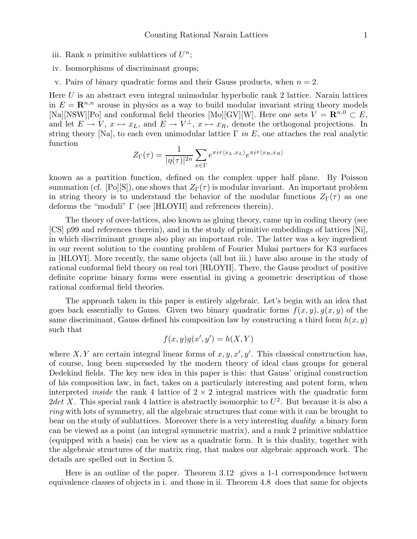- iii. Rank *n* primitive sublattices of  $U^n$ ;
- iv. Isomorphisms of discriminant groups;
- v. Pairs of binary quadratic forms and their Gauss products, when  $n = 2$ .

Here  $U$  is an abstract even integral unimodular hyperbolic rank 2 lattice. Narain lattices in  $E = \mathbb{R}^{n,n}$  arouse in physics as a way to build modular invariant string theory models [Na][NSW][Po] and conformal field theories [Mo][GV][W]. Here one sets  $V = \mathbb{R}^{n,0} \subset E$ , and let  $E \to V$ ,  $x \mapsto x_L$ , and  $E \to V^{\perp}$ ,  $x \mapsto x_R$ , denote the orthogonal projections. In string theory [Na], to each even unimodular lattice Γ *in* E, one attaches the real analytic function

$$
Z_{\Gamma}(\tau) = \frac{1}{|\eta(\tau)|^{2n}} \sum_{x \in \Gamma} e^{\pi i \tau \langle x_L, x_L \rangle} e^{\pi i \bar{\tau} \langle x_R, x_R \rangle}
$$

known as a partition function, defined on the complex upper half plane. By Poisson summation (cf. [Po][S]), one shows that  $Z_{\Gamma}(\tau)$  is modular invariant. An important problem in string theory is to understand the behavior of the modular functions  $Z_{\Gamma}(\tau)$  as one deforms the "moduli" Γ (see [HLOYII] and references therein).

The theory of over-lattices, also known as gluing theory, came up in coding theory (see [CS] p99 and references therein), and in the study of primitive embeddings of lattices [Ni], in which discriminant groups also play an important role. The latter was a key ingredient in our recent solution to the counting problem of Fourier Mukai partners for K3 surfaces in [HLOYI]. More recently, the same objects (all but iii.) have also arouse in the study of rational conformal field theory on real tori [HLOYII]. There, the Gauss product of positive definite coprime binary forms were essential in giving a geometric description of those rational conformal field theories.

The approach taken in this paper is entirely algebraic. Let's begin with an idea that goes back essentially to Gauss. Given two binary quadratic forms  $f(x, y)$ ,  $g(x, y)$  of the same discriminant, Gauss defined his composition law by constructing a third form  $h(x, y)$ such that

$$
f(x, y)g(x', y') = h(X, Y)
$$

where X, Y are certain integral linear forms of  $x, y, x', y'$ . This classical construction has, of course, long been superseded by the modern theory of ideal class groups for general Dedekind fields. The key new idea in this paper is this: that Gauss' original construction of his composition law, in fact, takes on a particularly interesting and potent form, when interpreted *inside* the rank 4 lattice of  $2 \times 2$  integral matrices with the quadratic form 2det X. This special rank 4 lattice is abstractly isomorphic to  $U^2$ . But because it is also a *ring* with lots of symmetry, all the algebraic structures that come with it can be brought to bear on the study of sublattices. Moreover there is a very interesting *duality*: a binary form can be viewed as a point (an integral symmetric matrix), and a rank 2 primitive sublattice (equipped with a basis) can be view as a quadratic form. It is this duality, together with the algebraic structures of the matrix ring, that makes our algebraic approach work. The details are spelled out in Section 5.

Here is an outline of the paper. Theorem 3.12 gives a 1-1 correspondence between equivalence classes of objects in i. and those in ii. Theorem 4.8 does that same for objects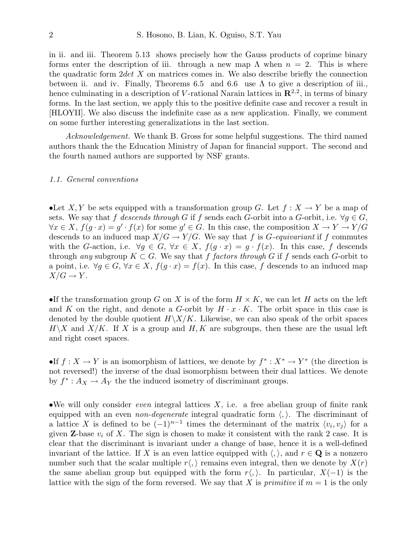in ii. and iii. Theorem 5.13 shows precisely how the Gauss products of coprime binary forms enter the description of iii. through a new map  $\Lambda$  when  $n = 2$ . This is where the quadratic form  $2det X$  on matrices comes in. We also describe briefly the connection between ii. and iv. Finally, Theorems 6.5 and 6.6 use  $\Lambda$  to give a description of iii., hence culminating in a description of V-rational Narain lattices in  $\mathbb{R}^{2,2}$ , in terms of binary forms. In the last section, we apply this to the positive definite case and recover a result in [HLOYII]. We also discuss the indefinite case as a new application. Finally, we comment on some further interesting generalizations in the last section.

*Acknowledgement.* We thank B. Gross for some helpful suggestions. The third named authors thank the the Education Ministry of Japan for financial support. The second and the fourth named authors are supported by NSF grants.

#### *1.1. General conventions*

•Let X, Y be sets equipped with a transformation group G. Let  $f: X \to Y$  be a map of sets. We say that f *descends through* G if f sends each G-orbit into a G-orbit, i.e.  $\forall g \in G$ ,  $\forall x \in X, f(g \cdot x) = g' \cdot f(x)$  for some  $g' \in G$ . In this case, the composition  $X \to Y \to Y/G$ descends to an induced map  $X/G \to Y/G$ . We say that f is G-equivariant if f commutes with the G-action, i.e.  $\forall g \in G, \forall x \in X, f(g \cdot x) = g \cdot f(x)$ . In this case, f descends through *any* subgroup  $K \subset G$ . We say that f factors through G if f sends each G-orbit to a point, i.e.  $\forall q \in G, \forall x \in X, f(q \cdot x) = f(x)$ . In this case, f descends to an induced map  $X/G \to Y$ .

•If the transformation group G on X is of the form  $H \times K$ , we can let H acts on the left and K on the right, and denote a G-orbit by  $H \cdot x \cdot K$ . The orbit space in this case is denoted by the double quotient  $H\backslash X/K$ . Likewise, we can also speak of the orbit spaces  $H\backslash X$  and  $X/K$ . If X is a group and H, K are subgroups, then these are the usual left and right coset spaces.

•If  $f: X \to Y$  is an isomorphism of lattices, we denote by  $f^*: X^* \to Y^*$  (the direction is not reversed!) the inverse of the dual isomorphism between their dual lattices. We denote by  $f^*: A_X \to A_Y$  the the induced isometry of discriminant groups.

•We will only consider *even* integral lattices X, i.e. a free abelian group of finite rank equipped with an even *non-degenerate* integral quadratic form  $\langle, \rangle$ . The discriminant of a lattice X is defined to be  $(-1)^{n-1}$  times the determinant of the matrix  $\langle v_i, v_j \rangle$  for a given **Z**-base  $v_i$  of X. The sign is chosen to make it consistent with the rank 2 case. It is clear that the discriminant is invariant under a change of base, hence it is a well-defined invariant of the lattice. If X is an even lattice equipped with  $\langle , \rangle$ , and  $r \in \mathbf{Q}$  is a nonzero number such that the scalar multiple  $r\langle\cdot\rangle$  remains even integral, then we denote by  $X(r)$ the same abelian group but equipped with the form  $r\langle , \rangle$ . In particular,  $X(-1)$  is the lattice with the sign of the form reversed. We say that X is *primitive* if  $m = 1$  is the only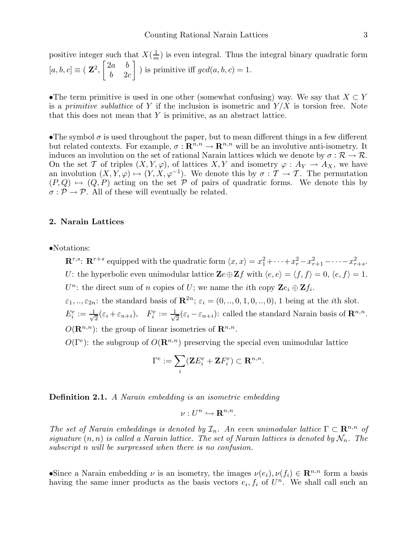positive integer such that  $X(\frac{1}{m})$  is even integral. Thus the integral binary quadratic form  $[a, b, c] \equiv (\mathbf{Z}^2,$  $\begin{bmatrix} 2a & b \end{bmatrix}$  $b = 2c$ 1 ) is primitive iff  $gcd(a, b, c) = 1$ .

•The term primitive is used in one other (somewhat confusing) way. We say that  $X \subset Y$ is a *primitive sublattice* of Y if the inclusion is isometric and  $Y/X$  is torsion free. Note that this does not mean that Y is primitive, as an abstract lattice.

•The symbol  $\sigma$  is used throughout the paper, but to mean different things in a few different but related contexts. For example,  $\sigma : \mathbb{R}^{n,n} \to \mathbb{R}^{n,n}$  will be an involutive anti-isometry. It induces an involution on the set of rational Narain lattices which we denote by  $\sigma : \mathcal{R} \to \mathcal{R}$ . On the set T of triples  $(X, Y, \varphi)$ , of lattices  $X, Y$  and isometry  $\varphi : A_Y \to A_X$ , we have an involution  $(X, Y, \varphi) \mapsto (Y, X, \varphi^{-1})$ . We denote this by  $\sigma : \mathcal{T} \to \mathcal{T}$ . The permutation  $(P,Q) \mapsto (Q, P)$  acting on the set P of pairs of quadratic forms. We denote this by  $\sigma : \mathcal{P} \to \mathcal{P}$ . All of these will eventually be related.

#### 2. Narain Lattices

•Notations:

 $\mathbb{R}^{r,s}$ :  $\mathbb{R}^{r+s}$  equipped with the quadratic form  $\langle x, x \rangle = x_1^2 + \cdots + x_r^2 - x_{r+1}^2 - \cdots - x_{r+s}^2$ . U: the hyperbolic even unimodular lattice  $\mathbf{Z}e \oplus \mathbf{Z}f$  with  $\langle e, e \rangle = \langle f, f \rangle = 0, \langle e, f \rangle = 1$ .  $U^n$ : the direct sum of n copies of U; we name the *i*th copy  $\mathbf{Z}e_i \oplus \mathbf{Z}f_i$ .  $\varepsilon_1, ..., \varepsilon_{2n}$ : the standard basis of  $\mathbb{R}^{2n}$ ;  $\varepsilon_i = (0, ..., 0, 1, 0, ..., 0)$ , 1 being at the *i*th slot.

 $E_i^e := \frac{1}{\sqrt{2}}$  $\frac{1}{2}(\varepsilon_i+\varepsilon_{n+i}),\quad F_i^e:=\frac{1}{\sqrt{2}}$  $\frac{1}{2}(\varepsilon_i - \varepsilon_{n+i})$ : called the standard Narain basis of  $\mathbf{R}^{n,n}$ .  $O(\mathbf{R}^{n,n})$ : the group of linear isometries of  $\mathbf{R}^{n,n}$ .

 $O(\Gamma^e)$ : the subgroup of  $O(\mathbf{R}^{n,n})$  preserving the special even unimodular lattice

$$
\Gamma^e:=\sum_i (\mathbf{Z} E_i^e+\mathbf{Z} F_i^e)\subset \mathbf{R}^{n,n}.
$$

Definition 2.1. *A Narain embedding is an isometric embedding*

$$
\nu:U^n\hookrightarrow {\bf R}^{n,n}.
$$

*The set of Narain embeddings is denoted by*  $\mathcal{I}_n$ *. An even unimodular lattice*  $\Gamma \subset \mathbb{R}^{n,n}$  *of signature*  $(n, n)$  *is called a Narain lattice. The set of Narain lattices is denoted by*  $\mathcal{N}_n$ . The *subscript* n *will be surpressed when there is no confusion.*

•Since a Narain embedding  $\nu$  is an isometry, the images  $\nu(e_i), \nu(f_i) \in \mathbb{R}^{n,n}$  form a basis having the same inner products as the basis vectors  $e_i, f_i$  of  $U^n$ . We shall call such an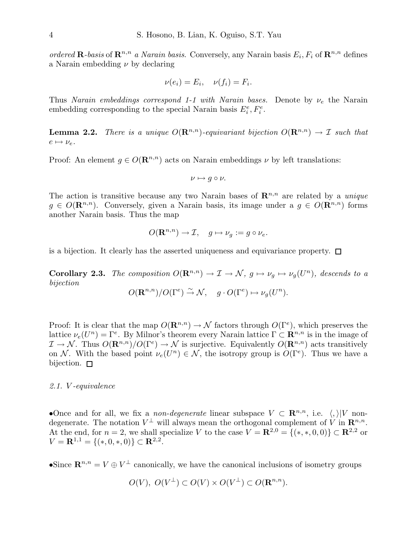*ordered* **R**-basis of  $\mathbb{R}^{n,n}$  *a Narain basis*. Conversely, any Narain basis  $E_i$ ,  $F_i$  of  $\mathbb{R}^{n,n}$  defines a Narain embedding  $\nu$  by declaring

$$
\nu(e_i) = E_i, \quad \nu(f_i) = F_i.
$$

Thus *Narain embeddings correspond 1-1 with Narain bases.* Denote by  $\nu_e$  the Narain embedding corresponding to the special Narain basis  $E_i^e, F_i^e$ .

**Lemma 2.2.** *There is a unique*  $O(\mathbb{R}^{n,n})$ -equivariant bijection  $O(\mathbb{R}^{n,n}) \to \mathcal{I}$  such that  $e \mapsto \nu_e$ .

Proof: An element  $g \in O(\mathbf{R}^{n,n})$  acts on Narain embeddings  $\nu$  by left translations:

$$
\nu\mapsto g\circ\nu.
$$

The action is transitive because any two Narain bases of  $\mathbb{R}^{n,n}$  are related by a *unique*  $g \in O(\mathbf{R}^{n,n})$ . Conversely, given a Narain basis, its image under a  $g \in O(\mathbf{R}^{n,n})$  forms another Narain basis. Thus the map

$$
O(\mathbf{R}^{n,n}) \to \mathcal{I}, \quad g \mapsto \nu_g := g \circ \nu_e.
$$

is a bijection. It clearly has the asserted uniqueness and equivariance property.  $\Box$ 

**Corollary 2.3.** *The composition*  $O(\mathbf{R}^{n,n}) \to \mathcal{I} \to \mathcal{N}$ ,  $g \mapsto \nu_g \mapsto \nu_g(U^n)$ , descends to a *bijection*

$$
O(\mathbf{R}^{n,n})/O(\Gamma^e) \xrightarrow{\sim} \mathcal{N}, \quad g \cdot O(\Gamma^e) \mapsto \nu_g(U^n).
$$

Proof: It is clear that the map  $O(\mathbf{R}^{n,n}) \to \mathcal{N}$  factors through  $O(\Gamma^e)$ , which preserves the lattice  $\nu_e(U^n) = \Gamma^e$ . By Milnor's theorem every Narain lattice  $\Gamma \subset \mathbb{R}^{n,n}$  is in the image of  $\mathcal{I} \to \mathcal{N}$ . Thus  $O(\mathbf{R}^{n,n})/O(\Gamma^e) \to \mathcal{N}$  is surjective. Equivalently  $O(\mathbf{R}^{n,n})$  acts transitively on N. With the based point  $\nu_e(U^n) \in \mathcal{N}$ , the isotropy group is  $O(\Gamma^e)$ . Thus we have a bijection.  $\square$ 

#### *2.1.* V *-equivalence*

•Once and for all, we fix a *non-degenerate* linear subspace  $V \subset \mathbb{R}^{n,n}$ , i.e.  $\langle , \rangle | V$  nondegenerate. The notation  $V^{\perp}$  will always mean the orthogonal complement of V in  $\mathbb{R}^{n,n}$ . At the end, for  $n = 2$ , we shall specialize V to the case  $V = \mathbb{R}^{2,0} = \{(*,*,0,0)\} \subset \mathbb{R}^{2,2}$  or  $V = \mathbf{R}^{1,1} = \{(*,0,*,0)\} \subset \mathbf{R}^{2,2}.$ 

•Since  $\mathbf{R}^{n,n} = V \oplus V^{\perp}$  canonically, we have the canonical inclusions of isometry groups

$$
O(V), O(V^{\perp}) \subset O(V) \times O(V^{\perp}) \subset O(\mathbf{R}^{n,n}).
$$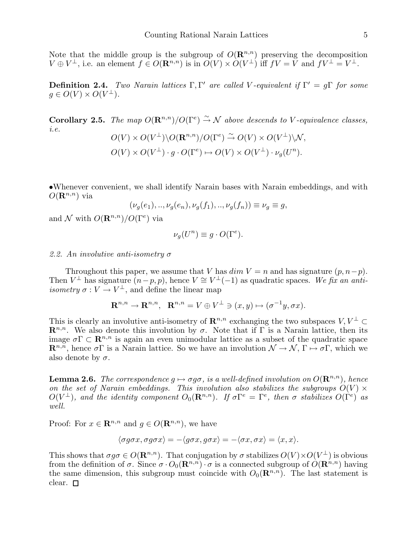Note that the middle group is the subgroup of  $O(\mathbf{R}^{n,n})$  preserving the decomposition  $V \oplus V^{\perp}$ , i.e. an element  $f \in O(\mathbf{R}^{n,n})$  is in  $O(V) \times O(V^{\perp})$  iff  $fV = V$  and  $fV^{\perp} = V^{\perp}$ .

Definition 2.4. *Two Narain lattices* Γ, Γ ′ *are called* V *-equivalent if* Γ ′ = gΓ *for some*  $g \in O(V) \times O(V^{\perp}).$ 

**Corollary 2.5.** *The map*  $O(\mathbf{R}^{n,n})/O(\Gamma^e) \overset{\sim}{\rightarrow} \mathcal{N}$  *above descends to V*-equivalence classes, *i.e.*

$$
O(V) \times O(V^{\perp}) \backslash O(\mathbf{R}^{n,n}) / O(\Gamma^e) \xrightarrow{\sim} O(V) \times O(V^{\perp}) \backslash \mathcal{N},
$$
  

$$
O(V) \times O(V^{\perp}) \cdot g \cdot O(\Gamma^e) \mapsto O(V) \times O(V^{\perp}) \cdot \nu_g(U^n).
$$

•Whenever convenient, we shall identify Narain bases with Narain embeddings, and with  $O(\mathbf{R}^{n,n})$  via  $(2\sqrt{2})$ ,  $(2\sqrt{2})$ 

$$
(\nu_g(e_1),..,\nu_g(e_n),\nu_g(f_1),..,\nu_g(f_n)) \equiv \nu_g \equiv g,
$$

and N with  $O(\mathbf{R}^{n,n})/O(\Gamma^e)$  via

$$
\nu_g(U^n) \equiv g \cdot O(\Gamma^e).
$$

# *2.2. An involutive anti-isometry* σ

Throughout this paper, we assume that V has  $dim V = n$  and has signature  $(p, n-p)$ . Then  $V^{\perp}$  has signature  $(n-p, p)$ , hence  $V \cong V^{\perp}(-1)$  as quadratic spaces. We fix an anti*isometry*  $\sigma: V \to V^{\perp}$ , and define the linear map

$$
\mathbf{R}^{n,n} \to \mathbf{R}^{n,n}, \quad \mathbf{R}^{n,n} = V \oplus V^{\perp} \ni (x,y) \mapsto (\sigma^{-1}y, \sigma x).
$$

This is clearly an involutive anti-isometry of  $\mathbb{R}^{n,n}$  exchanging the two subspaces  $V, V^{\perp} \subset$  $\mathbb{R}^{n,n}$ . We also denote this involution by  $\sigma$ . Note that if  $\Gamma$  is a Narain lattice, then its image  $\sigma \Gamma \subset \mathbb{R}^{n,n}$  is again an even unimodular lattice as a subset of the quadratic space  $\mathbf{R}^{n,n}$ , hence  $\sigma \Gamma$  is a Narain lattice. So we have an involution  $\mathcal{N} \to \mathcal{N}$ ,  $\Gamma \mapsto \sigma \Gamma$ , which we also denote by  $\sigma$ .

**Lemma 2.6.** *The correspondence*  $q \mapsto \sigma q \sigma$ *, is a well-defined involution on*  $O(\mathbb{R}^{n,n})$ *, hence on the set of Narain embeddings. This involution also stabilizes the subgroups*  $O(V) \times$  $O(V^{\perp})$ , and the identity component  $O_0(\mathbf{R}^{n,n})$ . If  $\sigma \Gamma^e = \Gamma^e$ , then  $\sigma$  stabilizes  $O(\Gamma^e)$  as *well.*

Proof: For  $x \in \mathbb{R}^{n,n}$  and  $g \in O(\mathbb{R}^{n,n})$ , we have

$$
\langle \sigma g \sigma x, \sigma g \sigma x \rangle = -\langle g \sigma x, g \sigma x \rangle = -\langle \sigma x, \sigma x \rangle = \langle x, x \rangle.
$$

This shows that  $\sigma g\sigma \in O(\mathbf{R}^{n,n})$ . That conjugation by  $\sigma$  stabilizes  $O(V) \times O(V^{\perp})$  is obvious from the definition of  $\sigma$ . Since  $\sigma \cdot O_0(\mathbf{R}^{n,n}) \cdot \sigma$  is a connected subgroup of  $O(\mathbf{R}^{n,n})$  having the same dimension, this subgroup must coincide with  $O_0(\mathbf{R}^{n,n})$ . The last statement is clear.  $\square$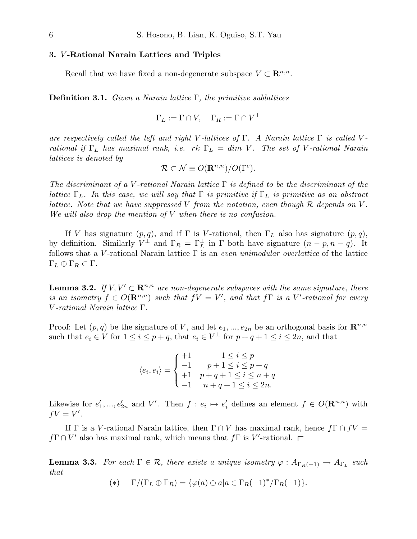# 3. V -Rational Narain Lattices and Triples

Recall that we have fixed a non-degenerate subspace  $V \subset \mathbb{R}^{n,n}$ .

Definition 3.1. *Given a Narain lattice* Γ*, the primitive sublattices*

$$
\Gamma_L := \Gamma \cap V, \quad \Gamma_R := \Gamma \cap V^{\perp}
$$

*are respectively called the left and right* V *-lattices of* Γ*. A Narain lattice* Γ *is called* V  *rational if* Γ<sup>L</sup> *has maximal rank, i.e.* rk Γ<sup>L</sup> = dim V *. The set of* V *-rational Narain lattices is denoted by*

$$
\mathcal{R} \subset \mathcal{N} \equiv O(\mathbf{R}^{n,n})/O(\Gamma^e).
$$

*The discriminant of a* V *-rational Narain lattice* Γ *is defined to be the discriminant of the lattice*  $\Gamma_L$ . In this case, we will say that  $\Gamma$  is primitive if  $\Gamma_L$  is primitive as an abstract *lattice. Note that we have suppressed* V *from the notation, even though* R *depends on* V *. We will also drop the mention of* V *when there is no confusion.*

If V has signature  $(p, q)$ , and if  $\Gamma$  is V-rational, then  $\Gamma_L$  also has signature  $(p, q)$ , by definition. Similarly  $V^{\perp}$  and  $\Gamma_R = \Gamma_L^{\perp}$  in  $\Gamma$  both have signature  $(n - p, n - q)$ . It follows that a V-rational Narain lattice  $\Gamma$  is an *even unimodular overlattice* of the lattice  $\Gamma_L \oplus \Gamma_R \subset \Gamma$ .

**Lemma 3.2.** *If*  $V, V' \subset \mathbb{R}^{n,n}$  *are non-degenerate subspaces with the same signature, there is an isometry*  $f \in O(\mathbf{R}^{n,n})$  *such that*  $fV = V'$ , and that  $f\Gamma$  *is a* V'-rational for every V *-rational Narain lattice* Γ*.*

Proof: Let  $(p, q)$  be the signature of V, and let  $e_1, ..., e_{2n}$  be an orthogonal basis for  $\mathbb{R}^{n,n}$ such that  $e_i \in V$  for  $1 \leq i \leq p+q$ , that  $e_i \in V^{\perp}$  for  $p+q+1 \leq i \leq 2n$ , and that

> $\langle e_i, e_i \rangle =$  $\sqrt{ }$  $\int$  $\overline{\mathcal{L}}$  $+1$   $1 \leq i \leq p$  $-1$   $p + 1 \leq i \leq p + q$  $+1$   $p+q+1 \leq i \leq n+q$  $-1$   $n+q+1 \leq i \leq 2n$ .

Likewise for  $e'_1, ..., e'_{2n}$  and V'. Then  $f : e_i \mapsto e'_i$  defines an element  $f \in O(\mathbf{R}^{n,n})$  with  $fV=V'.$ 

If Γ is a V-rational Narain lattice, then  $\Gamma \cap V$  has maximal rank, hence  $f\Gamma \cap fV =$  $f\Gamma \cap V'$  also has maximal rank, which means that  $f\Gamma$  is V'-rational.

**Lemma 3.3.** For each  $\Gamma \in \mathcal{R}$ , there exists a unique isometry  $\varphi : A_{\Gamma_R(-1)} \to A_{\Gamma_L}$  such *that*

$$
(*) \t\Gamma/(\Gamma_L \oplus \Gamma_R) = \{ \varphi(a) \oplus a | a \in \Gamma_R(-1)^* / \Gamma_R(-1) \}.
$$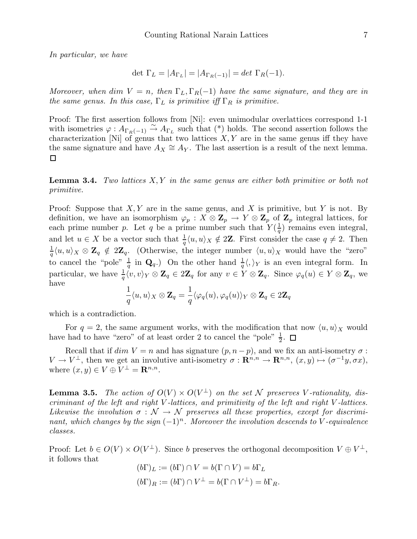*In particular, we have*

$$
\det \Gamma_L = |A_{\Gamma_L}| = |A_{\Gamma_R(-1)}| = \det \Gamma_R(-1).
$$

*Moreover, when* dim  $V = n$ , then  $\Gamma_L, \Gamma_R(-1)$  have the same signature, and they are in *the same genus. In this case,*  $\Gamma_L$  *is primitive iff*  $\Gamma_R$  *is primitive.* 

Proof: The first assertion follows from [Ni]: even unimodular overlattices correspond 1-1 with isometries  $\varphi: A_{\Gamma_R(-1)} \stackrel{\sim}{\to} A_{\Gamma_L}$  such that (\*) holds. The second assertion follows the characterization [Ni] of genus that two lattices  $X, Y$  are in the same genus iff they have the same signature and have  $A_X \cong A_Y$ . The last assertion is a result of the next lemma.  $\Box$ 

Lemma 3.4. *Two lattices* X, Y *in the same genus are either both primitive or both not primitive.*

Proof: Suppose that  $X, Y$  are in the same genus, and X is primitive, but Y is not. By definition, we have an isomorphism  $\varphi_p : X \otimes \mathbb{Z}_p \to Y \otimes \mathbb{Z}_p$  of  $\mathbb{Z}_p$  integral lattices, for each prime number p. Let q be a prime number such that  $Y(\frac{1}{a})$  $\frac{1}{q}$ ) remains even integral, and let  $u \in X$  be a vector such that  $\frac{1}{q} \langle u, u \rangle_X \notin 2\mathbb{Z}$ . First consider the case  $q \neq 2$ . Then 1  $\frac{1}{q}\langle u, u \rangle_X \otimes \mathbf{Z}_q \notin 2\mathbf{Z}_q$ . (Otherwise, the integer number  $\langle u, u \rangle_X$  would have the "zero" to cancel the "pole"  $\frac{1}{q}$  in  $\mathbf{Q}_q$ .) On the other hand  $\frac{1}{q}\langle,\rangle_Y$  is an even integral form. In particular, we have  $\frac{1}{q} \langle v, v \rangle_Y \otimes \mathbf{Z}_q \in 2\mathbf{Z}_q$  for any  $v \in Y \otimes \mathbf{Z}_q$ . Since  $\varphi_q(u) \in Y \otimes \mathbf{Z}_q$ , we have

$$
\frac{1}{q}\langle u,u\rangle_X\otimes\mathbf{Z}_q=\frac{1}{q}\langle\varphi_q(u),\varphi_q(u)\rangle_Y\otimes\mathbf{Z}_q\in 2\mathbf{Z}_q
$$

which is a contradiction.

For  $q = 2$ , the same argument works, with the modification that now  $\langle u, u \rangle_X$  would have had to have "zero" of at least order 2 to cancel the "pole"  $\frac{1}{2}$ .

Recall that if  $dim V = n$  and has signature  $(p, n-p)$ , and we fix an anti-isometry  $\sigma$ :  $V \to V^{\perp}$ , then we get an involutive anti-isometry  $\sigma : \mathbf{R}^{n,n} \to \mathbf{R}^{n,n}$ ,  $(x, y) \mapsto (\sigma^{-1}y, \sigma x)$ , where  $(x, y) \in V \oplus V^{\perp} = \mathbf{R}^{n,n}$ .

**Lemma 3.5.** The action of  $O(V) \times O(V^{\perp})$  on the set N preserves V-rationality, dis*criminant of the left and right* V *-lattices, and primitivity of the left and right* V *-lattices.* Likewise the involution  $\sigma : \mathcal{N} \to \mathcal{N}$  preserves all these properties, except for discrimi*nant, which changes by the sign*  $(-1)^n$ *. Moreover the involution descends to* V-equivalence *classes.*

Proof: Let  $b \in O(V) \times O(V^{\perp})$ . Since b preserves the orthogonal decomposition  $V \oplus V^{\perp}$ , it follows that

$$
(b\Gamma)_L := (b\Gamma) \cap V = b(\Gamma \cap V) = b\Gamma_L
$$

$$
(b\Gamma)_R := (b\Gamma) \cap V^{\perp} = b(\Gamma \cap V^{\perp}) = b\Gamma_R.
$$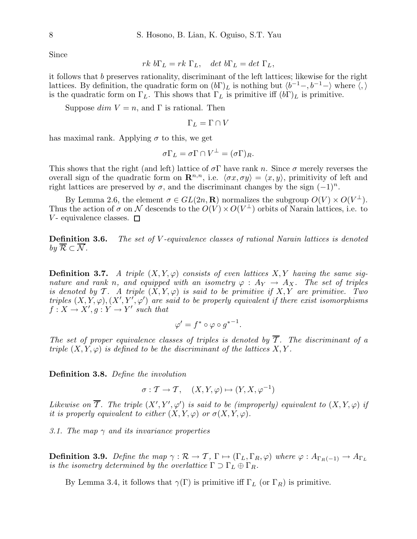Since

$$
rk \ b\Gamma_L = rk \ \Gamma_L, \quad det \ b\Gamma_L = det \ \Gamma_L,
$$

it follows that b preserves rationality, discriminant of the left lattices; likewise for the right lattices. By definition, the quadratic form on  $(b\Gamma)_L$  is nothing but  $\langle b^{-1}, b^{-1}\rangle$  where  $\langle, \rangle$ is the quadratic form on  $\Gamma_L$ . This shows that  $\Gamma_L$  is primitive iff  $(b\Gamma)_L$  is primitive.

Suppose  $dim V = n$ , and  $\Gamma$  is rational. Then

$$
\Gamma_L=\Gamma\cap V
$$

has maximal rank. Applying  $\sigma$  to this, we get

$$
\sigma \Gamma_L = \sigma \Gamma \cap V^{\perp} = (\sigma \Gamma)_R.
$$

This shows that the right (and left) lattice of  $\sigma \Gamma$  have rank n. Since  $\sigma$  merely reverses the overall sign of the quadratic form on  $\mathbb{R}^{n,n}$ , i.e.  $\langle \sigma x, \sigma y \rangle = \langle x, y \rangle$ , primitivity of left and right lattices are preserved by  $\sigma$ , and the discriminant changes by the sign  $(-1)^n$ .

By Lemma 2.6, the element  $\sigma \in GL(2n, \mathbf{R})$  normalizes the subgroup  $O(V) \times O(V^{\perp}).$ Thus the action of  $\sigma$  on N descends to the  $O(V) \times O(V^{\perp})$  orbits of Narain lattices, i.e. to  $V$ - equivalence classes.  $\Box$ 

Definition 3.6. *The set of* V *-equivalence classes of rational Narain lattices is denoted by*  $\overline{\mathcal{R}} \subset \overline{\mathcal{N}}$ *.* 

**Definition 3.7.** A triple  $(X, Y, \varphi)$  consists of even lattices  $X, Y$  having the same sig*nature and rank n, and equipped with an isometry*  $\varphi$  :  $A_Y \to A_X$ . The set of triples *is denoted by*  $\mathcal{T}$ *. A triple*  $(X, Y, \varphi)$  *is said to be primitive if*  $X, Y$  *are primitive. Two triples*  $(X, Y, \varphi), (X', Y', \varphi')$  are said to be properly equivalent if there exist isomorphisms  $f: X \to X', g: Y \to Y'$  such that

$$
\varphi' = f^* \circ \varphi \circ g^{*-1}.
$$

The set of proper equivalence classes of triples is denoted by  $\overline{\mathcal{I}}$ . The discriminant of a *triple*  $(X, Y, \varphi)$  *is defined to be the discriminant of the lattices*  $X, Y$ .

Definition 3.8. *Define the involution*

$$
\sigma: \mathcal{T} \to \mathcal{T}, \quad (X, Y, \varphi) \mapsto (Y, X, \varphi^{-1})
$$

*Likewise on*  $\mathcal T$ *. The triple*  $(X', Y', \varphi')$  *is said to be (improperly) equivalent to*  $(X, Y, \varphi)$  *if it is properly equivalent to either*  $(X, Y, \varphi)$  *or*  $\sigma(X, Y, \varphi)$ *.* 

*3.1. The map* γ *and its invariance properties*

**Definition 3.9.** *Define the map*  $\gamma : \mathcal{R} \to \mathcal{T}$ ,  $\Gamma \mapsto (\Gamma_L, \Gamma_R, \varphi)$  *where*  $\varphi : A_{\Gamma_R(-1)} \to A_{\Gamma_L}$ *is the isometry determined by the overlattice*  $\Gamma \supset \Gamma_L \oplus \Gamma_R$ .

By Lemma 3.4, it follows that  $\gamma(\Gamma)$  is primitive iff  $\Gamma_L$  (or  $\Gamma_R$ ) is primitive.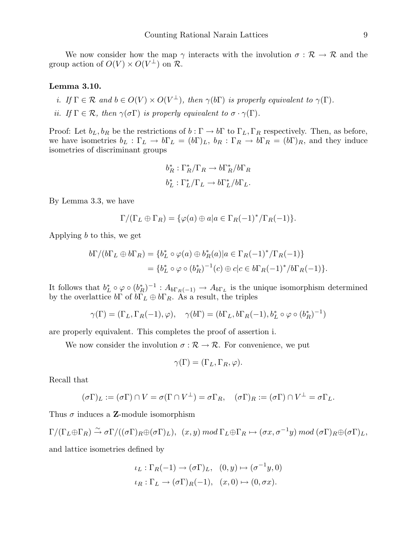We now consider how the map  $\gamma$  interacts with the involution  $\sigma : \mathcal{R} \to \mathcal{R}$  and the group action of  $O(V) \times O(V^{\perp})$  on  $\mathcal{R}$ .

# Lemma 3.10.

- *i.* If  $\Gamma \in \mathcal{R}$  and  $b \in O(V) \times O(V^{\perp})$ , then  $\gamma(b\Gamma)$  is properly equivalent to  $\gamma(\Gamma)$ .
- *ii.* If  $\Gamma \in \mathcal{R}$ *, then*  $\gamma(\sigma \Gamma)$  *is properly equivalent to*  $\sigma \cdot \gamma(\Gamma)$ *.*

Proof: Let  $b_L, b_R$  be the restrictions of  $b : \Gamma \to b\Gamma$  to  $\Gamma_L, \Gamma_R$  respectively. Then, as before, we have isometries  $b_L : \Gamma_L \to b\Gamma_L = (b\Gamma)_L$ ,  $b_R : \Gamma_R \to b\Gamma_R = (b\Gamma)_R$ , and they induce isometries of discriminant groups

$$
b_R^* : \Gamma_R^* / \Gamma_R \to b \Gamma_R^* / b \Gamma_R
$$
  

$$
b_L^* : \Gamma_L^* / \Gamma_L \to b \Gamma_L^* / b \Gamma_L.
$$

By Lemma 3.3, we have

$$
\Gamma/(\Gamma_L \oplus \Gamma_R) = \{ \varphi(a) \oplus a | a \in \Gamma_R(-1)^* / \Gamma_R(-1) \}.
$$

Applying b to this, we get

$$
b\Gamma/(b\Gamma_L \oplus b\Gamma_R) = \{b_L^* \circ \varphi(a) \oplus b_R^*(a) | a \in \Gamma_R(-1)^*/\Gamma_R(-1)\}
$$
  
= 
$$
\{b_L^* \circ \varphi \circ (b_R^*)^{-1}(c) \oplus c | c \in b\Gamma_R(-1)^*/b\Gamma_R(-1)\}.
$$

It follows that  $b_L^* \circ \varphi \circ (b_R^*)^{-1} : A_{b\Gamma_R(-1)} \to A_{b\Gamma_L}$  is the unique isomorphism determined by the overlattice  $b\Gamma$  of  $b\Gamma_L \oplus b\Gamma_R$ . As a result, the triples

$$
\gamma(\Gamma) = (\Gamma_L, \Gamma_R(-1), \varphi), \quad \gamma(b\Gamma) = (b\Gamma_L, b\Gamma_R(-1), b_L^* \circ \varphi \circ (b_R^*)^{-1})
$$

are properly equivalent. This completes the proof of assertion i.

We now consider the involution  $\sigma : \mathcal{R} \to \mathcal{R}$ . For convenience, we put

$$
\gamma(\Gamma) = (\Gamma_L, \Gamma_R, \varphi).
$$

Recall that

$$
(\sigma \Gamma)_L := (\sigma \Gamma) \cap V = \sigma(\Gamma \cap V^{\perp}) = \sigma \Gamma_R, \quad (\sigma \Gamma)_R := (\sigma \Gamma) \cap V^{\perp} = \sigma \Gamma_L.
$$

Thus  $\sigma$  induces a **Z**-module isomorphism

$$
\Gamma/(\Gamma_L \oplus \Gamma_R) \xrightarrow{\sim} \sigma \Gamma/((\sigma \Gamma)_R \oplus (\sigma \Gamma)_L), \ (x, y) \mod \Gamma_L \oplus \Gamma_R \mapsto (\sigma x, \sigma^{-1} y) \mod (\sigma \Gamma)_R \oplus (\sigma \Gamma)_L,
$$

and lattice isometries defined by

$$
\iota_L : \Gamma_R(-1) \to (\sigma \Gamma)_L, \quad (0, y) \mapsto (\sigma^{-1} y, 0)
$$
  

$$
\iota_R : \Gamma_L \to (\sigma \Gamma)_R(-1), \quad (x, 0) \mapsto (0, \sigma x).
$$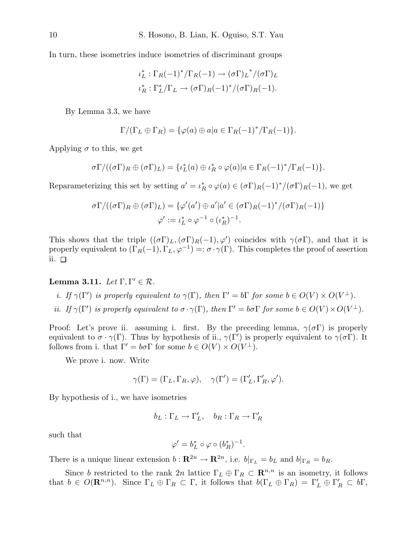In turn, these isometries induce isometries of discriminant groups

$$
\iota_L^* : \Gamma_R(-1)^* / \Gamma_R(-1) \to (\sigma \Gamma)_L^* / (\sigma \Gamma)_L
$$
  

$$
\iota_R^* : \Gamma_L^* / \Gamma_L \to (\sigma \Gamma)_R(-1)^* / (\sigma \Gamma)_R(-1).
$$

By Lemma 3.3, we have

$$
\Gamma/(\Gamma_L \oplus \Gamma_R) = \{ \varphi(a) \oplus a | a \in \Gamma_R(-1)^* / \Gamma_R(-1) \}.
$$

Applying  $\sigma$  to this, we get

$$
\sigma\Gamma/((\sigma\Gamma)_R\oplus(\sigma\Gamma)_L)=\{\iota_L^*(a)\oplus\iota_R^*\circ\varphi(a)|a\in\Gamma_R(-1)^*/\Gamma_R(-1)\}.
$$

Reparameterizing this set by setting  $a' = \iota_R^* \circ \varphi(a) \in (\sigma \Gamma)_R(-1)^*/(\sigma \Gamma)_R(-1)$ , we get

$$
\sigma\Gamma/((\sigma\Gamma)_R \oplus (\sigma\Gamma)_L) = \{ \varphi'(a') \oplus a' | a' \in (\sigma\Gamma)_R (-1)^* / (\sigma\Gamma)_R (-1) \}
$$

$$
\varphi' := \iota_L^* \circ \varphi^{-1} \circ (\iota_R^*)^{-1}.
$$

This shows that the triple  $((\sigma \Gamma)_L, (\sigma \Gamma)_R(-1), \varphi')$  coincides with  $\gamma(\sigma \Gamma)$ , and that it is properly equivalent to  $(\Gamma_R(-1), \Gamma_L, \varphi^{-1}) =: \sigma \cdot \gamma(\Gamma)$ . This completes the proof of assertion ii.  $\square$ 

# Lemma 3.11.  $Let \Gamma, \Gamma' \in \mathcal{R}$ .

- *i.* If  $\gamma(\Gamma')$  *is properly equivalent to*  $\gamma(\Gamma)$ *, then*  $\Gamma' = b\Gamma$  *for some*  $b \in O(V) \times O(V^{\perp})$ *.*
- *ii.* If  $\gamma(\Gamma')$  is properly equivalent to  $\sigma \cdot \gamma(\Gamma)$ , then  $\Gamma' = b\sigma \Gamma$  for some  $b \in O(V) \times O(V^{\perp})$ .

Proof: Let's prove ii. assuming i. first. By the preceding lemma,  $\gamma(\sigma \Gamma)$  is properly equivalent to  $\sigma \cdot \gamma(\Gamma)$ . Thus by hypothesis of ii.,  $\gamma(\Gamma')$  is properly equivalent to  $\gamma(\sigma \Gamma)$ . It follows from i. that  $\Gamma' = b\sigma \Gamma$  for some  $b \in O(V) \times O(V^{\perp}).$ 

We prove i. now. Write

$$
\gamma(\Gamma) = (\Gamma_L, \Gamma_R, \varphi), \quad \gamma(\Gamma') = (\Gamma'_L, \Gamma'_R, \varphi').
$$

By hypothesis of i., we have isometries

$$
b_L: \Gamma_L \to \Gamma'_L, \quad b_R: \Gamma_R \to \Gamma'_R
$$

such that

$$
\varphi' = b_L^* \circ \varphi \circ (b_R^*)^{-1}.
$$

There is a unique linear extension  $b: \mathbf{R}^{2n} \to \mathbf{R}^{2n}$ , i.e.  $b|_{\Gamma_L} = b_L$  and  $b|_{\Gamma_R} = b_R$ .

Since b restricted to the rank  $2n$  lattice  $\Gamma_L \oplus \Gamma_R \subset \mathbb{R}^{n,n}$  is an isometry, it follows that  $b \in O(\mathbf{R}^{n,n})$ . Since  $\Gamma_L \oplus \Gamma_R \subset \Gamma$ , it follows that  $b(\Gamma_L \oplus \Gamma_R) = \Gamma'_L \oplus \Gamma'_R \subset b\Gamma$ ,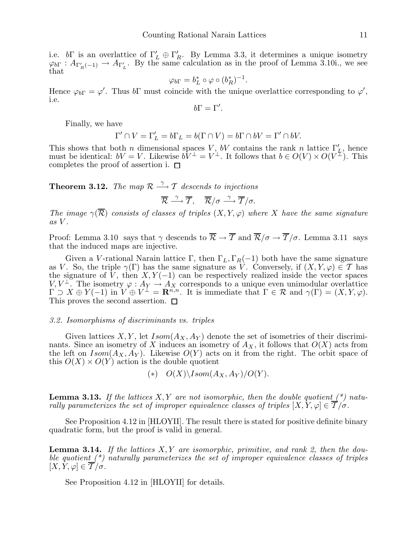i.e.  $b\Gamma$  is an overlattice of  $\Gamma'_L \oplus \Gamma'_R$ . By Lemma 3.3, it determines a unique isometry  $\varphi_{b\Gamma}: A_{\Gamma'_R(-1)} \to A_{\Gamma'_L}$ . By the same calculation as in the proof of Lemma 3.10i., we see that

$$
\varphi_{b\Gamma} = b_L^* \circ \varphi \circ (b_R^*)^{-1}.
$$

Hence  $\varphi_{b\Gamma} = \varphi'$ . Thus  $b\Gamma$  must coincide with the unique overlattice corresponding to  $\varphi'$ , i.e.

 $b\Gamma=\Gamma'.$ 

Finally, we have

$$
\Gamma' \cap V = \Gamma'_L = b\Gamma_L = b(\Gamma \cap V) = b\Gamma \cap bV = \Gamma' \cap bV.
$$

This shows that both n dimensional spaces V, bV contains the rank n lattice  $\Gamma'_L$ , hence must be identical:  $bV = V$ . Likewise  $bV^{\perp} = V^{\perp}$ . It follows that  $b \in O(V) \times O(V^{\perp})$ . This completes the proof of assertion i.  $\square$ 

**Theorem 3.12.** The map  $\mathcal{R} \stackrel{\gamma}{\longrightarrow} \mathcal{T}$  descends to injections

$$
\overline{\mathcal{R}} \stackrel{\gamma}{\longrightarrow} \overline{\mathcal{T}}, \quad \overline{\mathcal{R}}/\sigma \stackrel{\gamma}{\longrightarrow} \overline{\mathcal{T}}/\sigma.
$$

*The image*  $\gamma(\overline{\mathcal{R}})$  *consists of classes of triples*  $(X, Y, \varphi)$  *where* X *have the same signature as* V *.*

Proof: Lemma 3.10 says that  $\gamma$  descends to  $\overline{\mathcal{R}} \to \overline{\mathcal{T}}$  and  $\overline{\mathcal{R}}/\sigma \to \overline{\mathcal{T}}/\sigma$ . Lemma 3.11 says that the induced maps are injective.

Given a V-rational Narain lattice Γ, then  $\Gamma_L, \Gamma_R(-1)$  both have the same signature as V. So, the triple  $\gamma(\Gamma)$  has the same signature as V. Conversely, if  $(X, Y, \varphi) \in \mathcal{T}$  has the signature of  $\bar{V}$ , then  $X, Y(-1)$  can be respectively realized inside the vector spaces  $V, V^{\perp}$ . The isometry  $\varphi: A_Y \to A_X$  corresponds to a unique even unimodular overlattice  $\Gamma \supset X \oplus Y(-1)$  in  $V \oplus V^{\perp} = \mathbf{R}^{n,n}$ . It is immediate that  $\Gamma \in \mathcal{R}$  and  $\gamma(\Gamma) = (X, Y, \varphi)$ . This proves the second assertion.  $\Box$ 

#### *3.2. Isomorphisms of discriminants vs. triples*

Given lattices X, Y, let  $Isom(A_X, A_Y)$  denote the set of isometries of their discriminants. Since an isometry of X induces an isometry of  $A<sub>X</sub>$ , it follows that  $O(X)$  acts from the left on  $Isom(A_X, A_Y)$ . Likewise  $O(Y)$  acts on it from the right. The orbit space of this  $O(X) \times O(Y)$  action is the double quotient

$$
(*)\quad O(X)\backslash Isom(A_X,A_Y)/O(Y).
$$

Lemma 3.13. *If the lattices* X, Y *are not isomorphic, then the double quotient (\*) naturally parameterizes the set of improper equivalence classes of triples*  $[X, Y, \varphi] \in \overline{T}/\sigma$ .

See Proposition 4.12 in [HLOYII]. The result there is stated for positive definite binary quadratic form, but the proof is valid in general.

Lemma 3.14. *If the lattices* X, Y *are isomorphic, primitive, and rank 2, then the double quotient (\*) naturally parameterizes the set of improper equivalence classes of triples*  $[X, Y, \varphi] \in \overline{T}/\sigma$ .

See Proposition 4.12 in [HLOYII] for details.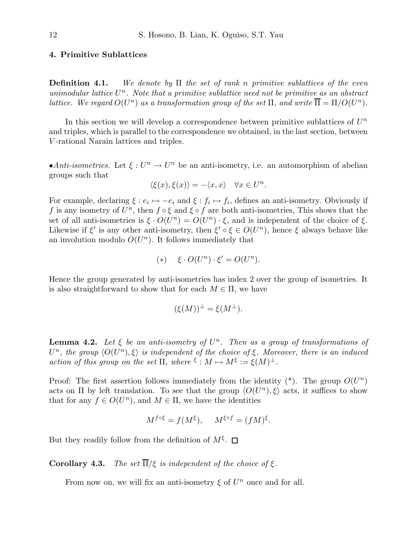# 4. Primitive Sublattices

Definition 4.1. *We denote by* Π *the set of rank* n *primitive sublattices of the even unimodular lattice* U <sup>n</sup>*. Note that a primitive sublattice need not be primitive as an abstract lattice.* We regard  $O(U^n)$  as a transformation group of the set  $\Pi$ , and write  $\overline{\Pi} = \Pi/O(U^n)$ *.* 

In this section we will develop a correspondence between primitive sublattices of  $U^n$ and triples, which is parallel to the correspondence we obtained, in the last section, between V -rational Narain lattices and triples.

•*Anti-isometries*. Let  $\xi: U^n \to U^n$  be an anti-isometry, i.e. an automorphism of abelian groups such that

$$
\langle \xi(x), \xi(x) \rangle = -\langle x, x \rangle \quad \forall x \in U^n.
$$

For example, declaring  $\xi: e_i \mapsto -e_i$  and  $\xi: f_i \mapsto f_i$ , defines an anti-isometry. Obviously if f is any isometry of  $U^n$ , then  $f \circ \xi$  and  $\xi \circ f$  are both anti-isometries, This shows that the set of all anti-isometries is  $\xi \cdot O(U^n) = O(U^n) \cdot \xi$ , and is independent of the choice of  $\xi$ . Likewise if  $\xi'$  is any other anti-isometry, then  $\xi' \circ \xi \in O(U^n)$ , hence  $\xi$  always behave like an involution modulo  $O(U<sup>n</sup>)$ . It follows immediately that

$$
(*) \quad \xi \cdot O(U^n) \cdot \xi' = O(U^n).
$$

Hence the group generated by anti-isometries has index 2 over the group of isometries. It is also straightforward to show that for each  $M \in \Pi$ , we have

$$
(\xi(M))^{\perp} = \xi(M^{\perp}).
$$

**Lemma 4.2.** Let  $\xi$  be an anti-isometry of  $U^n$ . Then as a group of transformations of  $U^n$ , the group  $\langle O(U^n), \xi \rangle$  is independent of the choice of  $\xi$ . Moreover, there is an induced *action of this group on the set*  $\Pi$ *, where*  $\xi : M \mapsto M^{\xi} := \xi(M)^{\perp}$ *.* 

Proof: The first assertion follows immediately from the identity  $(*)$ . The group  $O(U<sup>n</sup>)$ acts on  $\Pi$  by left translation. To see that the group  $\langle O(U^n), \xi \rangle$  acts, it suffices to show that for any  $f \in O(U^n)$ , and  $M \in \Pi$ , we have the identities

$$
M^{f \circ \xi} = f(M^{\xi}), \quad M^{\xi \circ f} = (fM)^{\xi}.
$$

But they readily follow from the definition of  $M^{\xi}$ .

**Corollary 4.3.** *The set*  $\overline{\Pi}/\xi$  *is independent of the choice of*  $\xi$ *.* 

From now on, we will fix an anti-isometry  $\xi$  of  $U^n$  once and for all.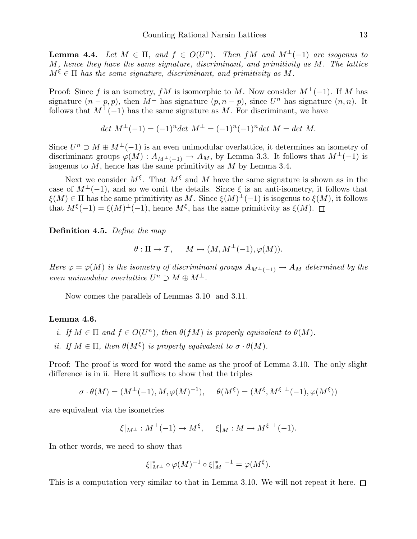**Lemma 4.4.** Let  $M \in \Pi$ , and  $f \in O(U^n)$ . Then  $fM$  and  $M^{\perp}(-1)$  are isogenus to M*, hence they have the same signature, discriminant, and primitivity as* M*. The lattice*  $M^{\xi} \in \Pi$  has the same signature, discriminant, and primitivity as M.

Proof: Since f is an isometry, fM is isomorphic to M. Now consider  $M^{\perp}(-1)$ . If M has signature  $(n - p, p)$ , then  $M^{\perp}$  has signature  $(p, n - p)$ , since  $U^{n}$  has signature  $(n, n)$ . It follows that  $M^{\perp}(-1)$  has the same signature as M. For discriminant, we have

$$
det M^{\perp}(-1) = (-1)^n det M^{\perp} = (-1)^n (-1)^n det M = det M.
$$

Since  $U^n \supset M \oplus M^{\perp}(-1)$  is an even unimodular overlattice, it determines an isometry of discriminant groups  $\varphi(M) : A_{M^{\perp}(-1)} \to A_M$ , by Lemma 3.3. It follows that  $M^{\perp}(-1)$  is isogenus to  $M$ , hence has the same primitivity as  $M$  by Lemma 3.4.

Next we consider  $M^{\xi}$ . That  $M^{\xi}$  and M have the same signature is shown as in the case of  $M^{\perp}(-1)$ , and so we omit the details. Since  $\xi$  is an anti-isometry, it follows that  $\xi(M) \in \Pi$  has the same primitivity as M. Since  $\xi(M)^{\perp}(-1)$  is isogenus to  $\xi(M)$ , it follows that  $M^{\xi}(-1) = \xi(M)^{\xi}(-1)$ , hence  $M^{\xi}$ , has the same primitivity as  $\xi(M)$ .

Definition 4.5. *Define the map*

$$
\theta : \Pi \to \mathcal{T}, \quad M \mapsto (M, M^{\perp}(-1), \varphi(M)).
$$

*Here*  $\varphi = \varphi(M)$  *is the isometry of discriminant groups*  $A_{M^{\perp}(-1)} \to A_M$  *determined by the even unimodular overlattice*  $U^n \supset M \oplus M^{\perp}$ .

Now comes the parallels of Lemmas 3.10 and 3.11.

# Lemma 4.6.

- *i.* If  $M \in \Pi$  and  $f \in O(U^n)$ , then  $\theta(fM)$  is properly equivalent to  $\theta(M)$ .
- *ii.* If  $M \in \Pi$ , then  $\theta(M^{\xi})$  *is properly equivalent to*  $\sigma \cdot \theta(M)$ *.*

Proof: The proof is word for word the same as the proof of Lemma 3.10. The only slight difference is in ii. Here it suffices to show that the triples

$$
\sigma \cdot \theta(M) = (M^{\perp}(-1), M, \varphi(M)^{-1}), \quad \theta(M^{\xi}) = (M^{\xi}, M^{\xi^{\perp}}(-1), \varphi(M^{\xi}))
$$

are equivalent via the isometries

$$
\xi|_{M^\perp}:M^\perp(-1)\to M^\xi,\quad \xi|_M:M\to M^{\xi^\perp}(-1).
$$

In other words, we need to show that

$$
\xi|_{M^{\perp}}^* \circ \varphi(M)^{-1} \circ \xi|_M^* \circ \xi = \varphi(M^{\xi}).
$$

This is a computation very similar to that in Lemma 3.10. We will not repeat it here.  $\Box$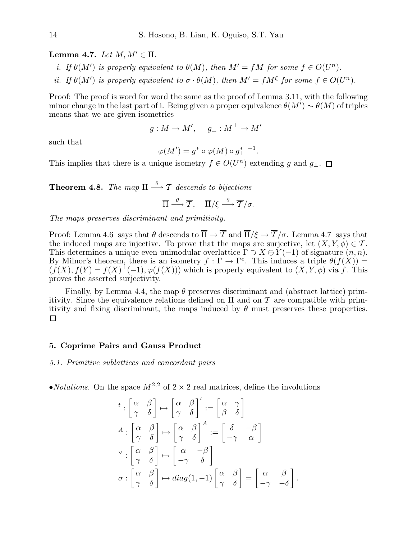Lemma 4.7. Let  $M, M' \in \Pi$ .

*i.* If  $\theta(M')$  is properly equivalent to  $\theta(M)$ , then  $M' = fM$  for some  $f \in O(U^n)$ .

*ii.* If  $\theta(M')$  *is properly equivalent to*  $\sigma \cdot \theta(M)$ *, then*  $M' = fM^{\xi}$  *for some*  $f \in O(U^{n})$ *.* 

Proof: The proof is word for word the same as the proof of Lemma 3.11, with the following minor change in the last part of i. Being given a proper equivalence  $\theta(M') \sim \theta(M)$  of triples means that we are given isometries

$$
g: M \to M', \quad g_{\perp}: M^{\perp} \to M'^{\perp}
$$

such that

$$
\varphi(M') = g^* \circ \varphi(M) \circ g^*_{\perp} \circ \perp
$$

.

This implies that there is a unique isometry  $f \in O(U^n)$  extending g and  $g_{\perp}$ .

**Theorem 4.8.** The map  $\Pi \stackrel{\theta}{\longrightarrow} \mathcal{T}$  descends to bijections

$$
\overline{\Pi} \stackrel{\theta}{\longrightarrow} \overline{T}, \quad \overline{\Pi}/\xi \stackrel{\theta}{\longrightarrow} \overline{T}/\sigma.
$$

*The maps preserves discriminant and primitivity.*

Proof: Lemma 4.6 says that  $\theta$  descends to  $\overline{\Pi} \to \overline{\mathcal{T}}$  and  $\overline{\Pi}/\xi \to \overline{\mathcal{T}}/\sigma$ . Lemma 4.7 says that the induced maps are injective. To prove that the maps are surjective, let  $(X, Y, \phi) \in \mathcal{T}$ . This determines a unique even unimodular overlattice  $\Gamma \supset X \oplus Y(-1)$  of signature  $(n, n)$ . By Milnor's theorem, there is an isometry  $f: \Gamma \to \Gamma^e$ . This induces a triple  $\theta(f(X)) =$  $(f(X), f(Y) = f(X)^{\perp}(-1), \varphi(f(X)))$  which is properly equivalent to  $(X, Y, \phi)$  via f. This proves the asserted surjectivity.

Finally, by Lemma 4.4, the map  $\theta$  preserves discriminant and (abstract lattice) primitivity. Since the equivalence relations defined on  $\Pi$  and on  $\mathcal T$  are compatible with primitivity and fixing discriminant, the maps induced by  $\theta$  must preserves these properties.  $\Box$ 

# 5. Coprime Pairs and Gauss Product

*5.1. Primitive sublattices and concordant pairs*

•*Notations*. On the space  $M^{2,2}$  of  $2 \times 2$  real matrices, define the involutions

$$
t: \begin{bmatrix} \alpha & \beta \\ \gamma & \delta \end{bmatrix} \mapsto \begin{bmatrix} \alpha & \beta \\ \gamma & \delta \end{bmatrix}^t := \begin{bmatrix} \alpha & \gamma \\ \beta & \delta \end{bmatrix}
$$

$$
A: \begin{bmatrix} \alpha & \beta \\ \gamma & \delta \end{bmatrix} \mapsto \begin{bmatrix} \alpha & \beta \\ \gamma & \delta \end{bmatrix}^A := \begin{bmatrix} \delta & -\beta \\ -\gamma & \alpha \end{bmatrix}
$$

$$
\vee: \begin{bmatrix} \alpha & \beta \\ \gamma & \delta \end{bmatrix} \mapsto \begin{bmatrix} \alpha & -\beta \\ -\gamma & \delta \end{bmatrix}
$$

$$
\sigma: \begin{bmatrix} \alpha & \beta \\ \gamma & \delta \end{bmatrix} \mapsto diag(1, -1) \begin{bmatrix} \alpha & \beta \\ \gamma & \delta \end{bmatrix} = \begin{bmatrix} \alpha & \beta \\ -\gamma & -\delta \end{bmatrix}.
$$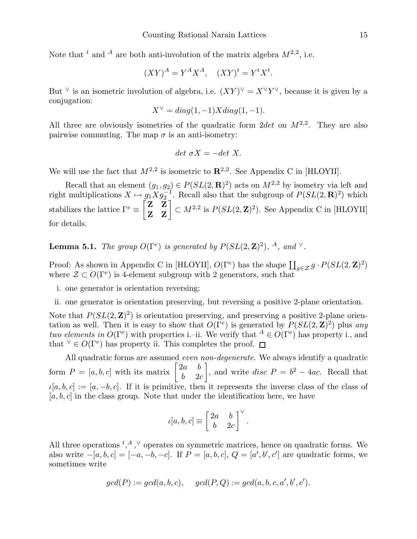Note that <sup>t</sup> and <sup>A</sup> are both anti-involution of the matrix algebra  $M^{2,2}$ , i.e.

$$
(XY)^A = Y^A X^A, \quad (XY)^t = Y^t X^t.
$$

But  $\vee$  is an isometric involution of algebra, i.e.  $(XY)^{\vee} = X^{\vee}Y^{\vee}$ , because it is given by a conjugation:

$$
X^{\vee} = diag(1, -1)X diag(1, -1).
$$

All three are obviously isometries of the quadratic form  $2det$  on  $M^{2,2}$ . They are also pairwise commuting. The map  $\sigma$  is an anti-isometry:

$$
det \ \sigma X = -det \ X.
$$

We will use the fact that  $M^{2,2}$  is isometric to  $\mathbb{R}^{2,2}$ . See Appendix C in [HLOYII].

Recall that an element  $(g_1, g_2) \in P(SL(2, \mathbf{R})^2)$  acts on  $M^{2,2}$  by isometry via left and right multiplications  $X \mapsto g_1 X g_2^{-1}$ . Recall also that the subgroup of  $P(SL(2, \mathbf{R})^2)$  which stabilizes the lattice  $\Gamma^e \equiv \begin{bmatrix} \mathbf{Z} & \mathbf{Z} \\ \mathbf{Z} & \mathbf{Z} \end{bmatrix} \subset M^{2,2}$  is  $P(SL(2,\mathbf{Z})^2)$ . See Appendix C in [HLOYII] for details.

**Lemma 5.1.** *The group*  $O(\Gamma^e)$  *is generated by*  $P(SL(2, \mathbf{Z})^2)$ , <sup>*A*</sup>, and <sup>*V*</sup>.

Proof: As shown in Appendix C in [HLOYII],  $O(\Gamma^e)$  has the shape  $\coprod_{g \in \mathcal{Z}} g \cdot P(SL(2, \mathbf{Z})^2)$ where  $\mathcal{Z} \subset O(\Gamma^e)$  is 4-element subgroup with 2 generators, such that

- i. one generator is orientation reversing;
- ii. one generator is orientation preserving, but reversing a positive 2-plane orientation.

Note that  $P(SL(2, \mathbf{Z})^2)$  is orientation preserving, and preserving a positive 2-plane orientation as well. Then it is easy to show that  $O(\Gamma^e)$  is generated by  $P(SL(2, \mathbf{Z})^2)$  plus any *two elements in*  $O(\Gamma^e)$  with properties i.–ii. We verify that  $A \in O(\Gamma^e)$  has property i., and that  $\forall \in O(\Gamma^e)$  has property ii. This completes the proof.

All quadratic forms are assumed *even non-degenerate*. We always identify a quadratic form  $P = [a, b, c]$  with its matrix  $\begin{bmatrix} 2a & b \\ b & a \end{bmatrix}$  $b = 2c$ 1 , and write *disc*  $P = b^2 - 4ac$ . Recall that  $\iota[a, b, c] := [a, -b, c]$ . If it is primitive, then it represents the inverse class of the class of  $[a, b, c]$  in the class group. Note that under the identification here, we have

$$
\iota[a,b,c] \equiv \left[\begin{array}{cc} 2a & b \\ b & 2c \end{array}\right]^{\vee}.
$$

All three operations  ${}^{t, A, \vee}$  operates on symmetric matrices, hence on quadratic forms. We also write  $-[a, b, c] = [-a, -b, -c]$ . If  $P = [a, b, c]$ ,  $Q = [a', b', c']$  are quadratic forms, we sometimes write

$$
gcd(P) := gcd(a, b, c), \quad gcd(P, Q) := gcd(a, b, c, a', b', c').
$$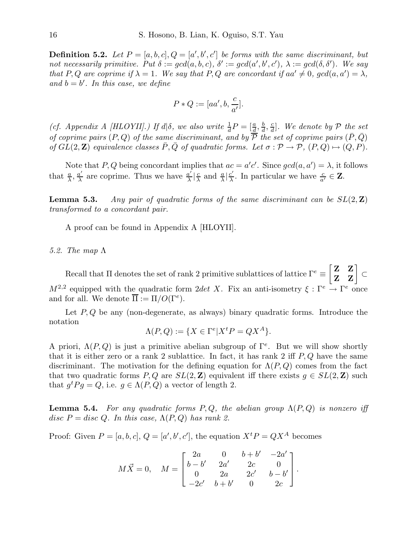**Definition 5.2.** Let  $P = [a, b, c], Q = [a', b', c']$  be forms with the same discriminant, but not necessarily primitive. Put  $\delta := gcd(a, b, c)$ ,  $\delta' := gcd(a', b', c')$ ,  $\lambda := gcd(\delta, \delta')$ . We say *that* P, Q are coprime if  $\lambda = 1$ . We say that P, Q are concordant if  $aa' \neq 0$ ,  $gcd(a, a') = \lambda$ , and  $b = b'$ . In this case, we define

$$
P * Q := [aa', b, \frac{c}{a'}].
$$

(*cf. Appendix A [HLOYII].) If*  $d\mid \delta$ *, we also write*  $\frac{1}{d}P = \left[\frac{a}{d}, \frac{b}{d}\right]$  $\frac{b}{d}$ ,  $\frac{c}{d}$  $\frac{c}{d}$ ]. We denote by  $\mathcal P$  the set *of coprime pairs*  $(P, Q)$  *of the same discriminant, and by*  $\overline{P}$  *the set of coprime pairs*  $(\overline{P}, \overline{Q})$ *of*  $GL(2, \mathbb{Z})$  *equivalence classes*  $\overline{P}, \overline{Q}$  *of quadratic forms. Let*  $\sigma : \mathcal{P} \to \mathcal{P}, (P, Q) \mapsto (Q, P)$ *.* 

Note that P, Q being concordant implies that  $ac = a'c'$ . Since  $gcd(a, a') = \lambda$ , it follows that  $\frac{a}{\lambda}, \frac{a'}{\lambda}$  $\frac{a'}{\lambda}$  are coprime. Thus we have  $\frac{a'}{\lambda}$  $\frac{a'}{\lambda}$   $\left|\frac{c}{\lambda}\right|$  $\frac{c}{\lambda}$  and  $\frac{a}{\lambda}$  |  $\frac{c'}{\lambda}$  $\frac{c'}{\lambda}$ . In particular we have  $\frac{c}{a'} \in \mathbf{Z}$ .

Lemma 5.3. *Any pair of quadratic forms of the same discriminant can be*  $SL(2, \mathbb{Z})$ *transformed to a concordant pair.*

A proof can be found in Appendix A [HLOYII].

*5.2. The map* Λ

Recall that  $\Pi$  denotes the set of rank 2 primitive sublattices of lattice  $\Gamma^e \equiv \begin{bmatrix} \mathbf{Z} & \mathbf{Z} \ \mathbf{Z} & \mathbf{Z} \end{bmatrix} \subset$  $M^{2,2}$  equipped with the quadratic form 2det X. Fix an anti-isometry  $\xi : \Gamma^e \to \Gamma^e$  once and for all. We denote  $\overline{\Pi} := \Pi/O(\Gamma^e)$ .

Let  $P, Q$  be any (non-degenerate, as always) binary quadratic forms. Introduce the notation

$$
\Lambda(P,Q) := \{ X \in \Gamma^e | X^t P = Q X^A \}.
$$

A priori,  $\Lambda(P,Q)$  is just a primitive abelian subgroup of  $\Gamma^e$ . But we will show shortly that it is either zero or a rank 2 sublattice. In fact, it has rank 2 iff  $P, Q$  have the same discriminant. The motivation for the defining equation for  $\Lambda(P,Q)$  comes from the fact that two quadratic forms P, Q are  $SL(2, \mathbb{Z})$  equivalent iff there exists  $g \in SL(2, \mathbb{Z})$  such that  $g^t P g = Q$ , i.e.  $g \in \Lambda(P,Q)$  a vector of length 2.

**Lemma 5.4.** *For any quadratic forms*  $P, Q$ *, the abelian group*  $\Lambda(P, Q)$  *is nonzero iff* disc  $P = disc Q$ . In this case,  $\Lambda(P,Q)$  has rank 2.

Proof: Given  $P = [a, b, c], Q = [a', b', c'],$  the equation  $X<sup>t</sup> P = Q X<sup>A</sup>$  becomes

$$
M\vec{X} = 0, \quad M = \begin{bmatrix} 2a & 0 & b+b' & -2a' \\ b-b' & 2a' & 2c & 0 \\ 0 & 2a & 2c' & b-b' \\ -2c' & b+b' & 0 & 2c \end{bmatrix}.
$$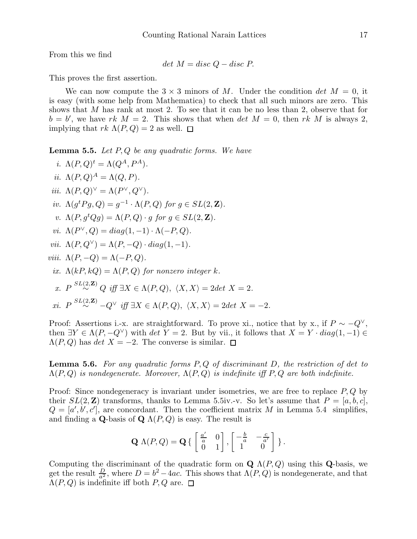From this we find

$$
det M = disc Q - disc P.
$$

This proves the first assertion.

We can now compute the  $3 \times 3$  minors of M. Under the condition det  $M = 0$ , it is easy (with some help from Mathematica) to check that all such minors are zero. This shows that  $M$  has rank at most 2. To see that it can be no less than 2, observe that for  $b = b'$ , we have rk  $M = 2$ . This shows that when det  $M = 0$ , then rk M is always 2, implying that  $rk \Lambda(P,Q) = 2$  as well.  $\square$ 

Lemma 5.5. *Let* P, Q *be any quadratic forms. We have*

*i.*  $\Lambda(P,Q)^t = \Lambda(Q^A, P^A)$ *. ii.*  $\Lambda(P,Q)^A = \Lambda(Q,P)$ *. iii.*  $\Lambda(P,Q)^{\vee} = \Lambda(P^{\vee}, Q^{\vee}).$ *iv.*  $\Lambda(g^t P g, Q) = g^{-1} \cdot \Lambda(P, Q)$  *for*  $g \in SL(2, \mathbb{Z})$ *. v.*  $\Lambda(P, g^t Q g) = \Lambda(P, Q) \cdot q$  *for*  $q \in SL(2, \mathbb{Z})$ *. vi.*  $\Lambda(P^{\vee}, Q) = diag(1, -1) \cdot \Lambda(-P, Q)$ . *vii.*  $\Lambda(P, Q^{\vee}) = \Lambda(P, -Q) \cdot diag(1, -1)$ . *viii.*  $\Lambda(P,-Q) = \Lambda(-P,Q)$ . *ix.*  $\Lambda(kP, kQ) = \Lambda(P, Q)$  *for nonzero integer k. x*.  $P \stackrel{SL(2, \mathbf{Z})}{\sim} Q$  *iff*  $\exists X \in \Lambda(P, Q), \ \langle X, X \rangle = 2det X = 2$ .  $xi. P \stackrel{SL(2, \mathbf{Z})}{\sim} -Q^{\vee}$  *iff*  $\exists X \in \Lambda(P, Q), \ \langle X, X \rangle = 2det X = -2.$ 

Proof: Assertions i.-x. are straightforward. To prove xi., notice that by x., if  $P \sim -Q^{\vee}$ , then  $\exists Y \in \Lambda(P, -Q^{\vee})$  with  $\det Y = 2$ . But by vii., it follows that  $X = Y \cdot diag(1, -1) \in$  $\Lambda(P,Q)$  has det  $X = -2$ . The converse is similar.  $\square$ 

Lemma 5.6. *For any quadratic forms* P, Q *of discriminant* D*, the restriction of* det *to* Λ(P, Q) *is nondegenerate. Moreover,* Λ(P, Q) *is indefinite iff* P, Q *are both indefinite.*

Proof: Since nondegeneracy is invariant under isometries, we are free to replace  $P, Q$  by their  $SL(2, \mathbb{Z})$  transforms, thanks to Lemma 5.5iv.-v. So let's assume that  $P = [a, b, c]$ ,  $Q = [a', b', c']$ , are concordant. Then the coefficient matrix M in Lemma 5.4 simplifies, and finding a Q-basis of Q  $\Lambda(P,Q)$  is easy. The result is

$$
\mathbf{Q} \Lambda(P,Q) = \mathbf{Q} \left\{ \begin{bmatrix} \frac{a'}{a} & 0 \\ 0 & 1 \end{bmatrix}, \begin{bmatrix} -\frac{b}{a} & -\frac{c}{a'} \\ 1 & 0 \end{bmatrix} \right\}.
$$

Computing the discriminant of the quadratic form on  $\mathbf{Q} \Lambda(P,Q)$  using this Q-basis, we get the result  $\frac{D}{a^2}$ , where  $D = b^2 - 4ac$ . This shows that  $\Lambda(P,Q)$  is nondegenerate, and that  $\Lambda(P,Q)$  is indefinite iff both  $P,Q$  are.  $\Box$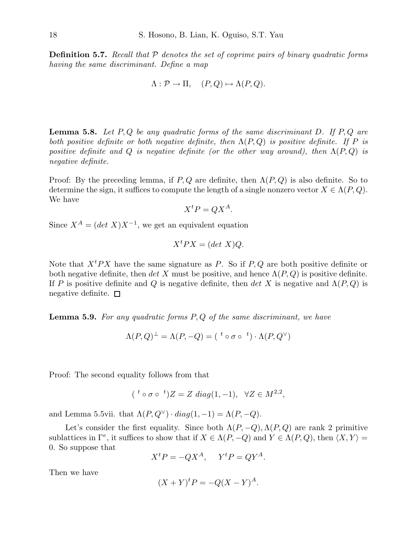Definition 5.7. *Recall that* P *denotes the set of coprime pairs of binary quadratic forms having the same discriminant. Define a map*

$$
\Lambda: \mathcal{P} \to \Pi, \quad (P, Q) \mapsto \Lambda(P, Q).
$$

Lemma 5.8. *Let* P, Q *be any quadratic forms of the same discriminant* D*. If* P, Q *are both positive definite or both negative definite, then* Λ(P, Q) *is positive definite. If* P *is positive definite and*  $Q$  *is negative definite (or the other way around), then*  $\Lambda(P,Q)$  *is negative definite.*

Proof: By the preceding lemma, if  $P, Q$  are definite, then  $\Lambda(P, Q)$  is also definite. So to determine the sign, it suffices to compute the length of a single nonzero vector  $X \in \Lambda(P,Q)$ . We have

$$
X^t P = Q X^A.
$$

Since  $X^A = (det X)X^{-1}$ , we get an equivalent equation

$$
X^t P X = (\det X) Q.
$$

Note that  $X^tPX$  have the same signature as P. So if P, Q are both positive definite or both negative definite, then det X must be positive, and hence  $\Lambda(P,Q)$  is positive definite. If P is positive definite and Q is negative definite, then det X is negative and  $\Lambda(P,Q)$  is negative definite.  $\square$ 

Lemma 5.9. *For any quadratic forms* P, Q *of the same discriminant, we have*

$$
\Lambda(P,Q)^{\perp} = \Lambda(P,-Q) = (\begin{array}{cc} t \circ \sigma \circ^{-t} \end{array}) \cdot \Lambda(P,Q^{\vee})
$$

Proof: The second equality follows from that

$$
(*\circ\sigma\circ\ ^t)Z = Z \ diag(1,-1), \ \ \forall Z\in M^{2,2},
$$

and Lemma 5.5vii. that  $\Lambda(P,Q^{\vee}) \cdot diag(1,-1) = \Lambda(P,-Q)$ .

Let's consider the first equality. Since both  $\Lambda(P,-Q), \Lambda(P,Q)$  are rank 2 primitive sublattices in  $\Gamma^e$ , it suffices to show that if  $X \in \Lambda(P, -Q)$  and  $Y \in \Lambda(P, Q)$ , then  $\langle X, Y \rangle =$ 0. So suppose that

 $X^t P = -QX^A$ ,  $Y^t P = QY^A$ .

Then we have

$$
(X+Y)^t P = -Q(X-Y)^A.
$$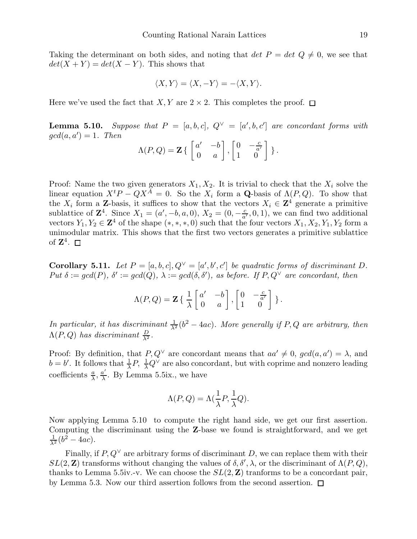Taking the determinant on both sides, and noting that  $det P = det Q \neq 0$ , we see that  $det(X + Y) = det(X - Y)$ . This shows that

$$
\langle X, Y \rangle = \langle X, -Y \rangle = -\langle X, Y \rangle.
$$

Here we've used the fact that X, Y are  $2 \times 2$ . This completes the proof.  $\Box$ 

**Lemma 5.10.** Suppose that  $P = [a, b, c], Q^{\vee} = [a', b, c']$  are concordant forms with  $gcd(a, a') = 1$ . Then

$$
\Lambda(P,Q) = \mathbf{Z} \left\{ \begin{bmatrix} a' & -b \\ 0 & a \end{bmatrix}, \begin{bmatrix} 0 & -\frac{c}{a'} \\ 1 & 0 \end{bmatrix} \right\}.
$$

Proof: Name the two given generators  $X_1, X_2$ . It is trivial to check that the  $X_i$  solve the linear equation  $X^t P - Q X^{\tilde{A}} = 0$ . So the  $X_i$  form a **Q**-basis of  $\Lambda(P,Q)$ . To show that the  $X_i$  form a **Z**-basis, it suffices to show that the vectors  $X_i \in \mathbb{Z}^4$  generate a primitive sublattice of  $\mathbb{Z}^4$ . Since  $X_1 = (a', -b, a, 0), X_2 = (0, -\frac{c}{a'}, 0, 1),$  we can find two additional vectors  $Y_1, Y_2 \in \mathbb{Z}^4$  of the shape  $(*,*,*,0)$  such that the four vectors  $X_1, X_2, Y_1, Y_2$  form a unimodular matrix. This shows that the first two vectors generates a primitive sublattice of  $\mathbf{Z}^4$ .

**Corollary 5.11.** Let  $P = [a, b, c], Q^{\vee} = [a', b', c']$  be quadratic forms of discriminant D.  $Put \delta := gcd(P), \delta' := gcd(Q), \lambda := gcd(\delta, \delta'), \text{ as before. If } P, Q^{\vee} \text{ are concordant, then}$ 

$$
\Lambda(P,Q) = \mathbf{Z} \left\{ \begin{array}{cc} \frac{1}{\lambda} \begin{bmatrix} a' & -b \\ 0 & a \end{bmatrix}, \begin{bmatrix} 0 & -\frac{c}{a'} \\ 1 & 0 \end{bmatrix} \right\}.
$$

*In particular, it has discriminant*  $\frac{1}{\lambda^2} (b^2 - 4ac)$ *. More generally if* P, Q are arbitrary, then  $\Lambda(P,Q)$  *has discriminant*  $\frac{D}{\lambda^2}$ *.* 

Proof: By definition, that  $P, Q^{\vee}$  are concordant means that  $aa' \neq 0$ ,  $gcd(a, a') = \lambda$ , and  $b = b'$ . It follows that  $\frac{1}{\lambda}P$ ,  $\frac{1}{\lambda}Q^{\vee}$  are also concordant, but with coprime and nonzero leading coefficients  $\frac{a}{\lambda}, \frac{a}{\lambda}$  $\frac{a'}{\lambda}$ . By Lemma 5.5ix., we have

$$
\Lambda(P,Q) = \Lambda(\frac{1}{\lambda}P, \frac{1}{\lambda}Q).
$$

Now applying Lemma 5.10 to compute the right hand side, we get our first assertion. Computing the discriminant using the Z-base we found is straightforward, and we get  $\frac{1}{\lambda^2}(b^2-4ac).$ 

Finally, if  $P, Q^{\vee}$  are arbitrary forms of discriminant D, we can replace them with their  $SL(2, \mathbb{Z})$  transforms without changing the values of  $\delta, \delta', \lambda$ , or the discriminant of  $\Lambda(P, Q)$ , thanks to Lemma 5.5iv.-v. We can choose the  $SL(2, \mathbb{Z})$  tranforms to be a concordant pair, by Lemma 5.3. Now our third assertion follows from the second assertion.  $\square$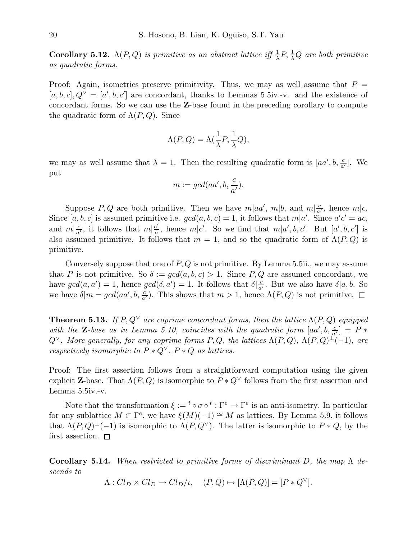Corollary 5.12.  $\Lambda(P,Q)$  *is primitive as an abstract lattice iff*  $\frac{1}{\lambda}P$ ,  $\frac{1}{\lambda}Q$  *are both primitive as quadratic forms.*

Proof: Again, isometries preserve primitivity. Thus, we may as well assume that  $P =$  $[a, b, c], Q^{\vee} = [a', b, c']$  are concordant, thanks to Lemmas 5.5iv.-v. and the existence of concordant forms. So we can use the Z-base found in the preceding corollary to compute the quadratic form of  $\Lambda(P,Q)$ . Since

$$
\Lambda(P,Q) = \Lambda(\frac{1}{\lambda}P, \frac{1}{\lambda}Q),
$$

we may as well assume that  $\lambda = 1$ . Then the resulting quadratic form is  $[aa', b, \frac{c}{a'}]$ . We put

$$
m := \gcd(aa', b, \frac{c}{a'}).
$$

Suppose P, Q are both primitive. Then we have  $m|aa'$ ,  $m|b$ , and  $m|\frac{c}{a'}$ , hence  $m|c$ . Since  $[a, b, c]$  is assumed primitive i.e.  $gcd(a, b, c) = 1$ , it follows that  $m|a'$ . Since  $a'c' = ac$ , and  $m|\frac{c}{a'}$ , it follows that  $m|\frac{c'}{a}$  $\frac{c}{a}$ , hence  $m|c'$ . So we find that  $m|a',b,c'$ . But  $[a',b,c']$  is also assumed primitive. It follows that  $m = 1$ , and so the quadratic form of  $\Lambda(P,Q)$  is primitive.

Conversely suppose that one of  $P, Q$  is not primitive. By Lemma 5.5ii., we may assume that P is not primitive. So  $\delta := \gcd(a, b, c) > 1$ . Since P, Q are assumed concordant, we have  $gcd(a, a') = 1$ , hence  $gcd(\delta, a') = 1$ . It follows that  $\delta \left| \frac{c}{a'} \right|$ . But we also have  $\delta | a, b$ . So we have  $\delta | m = gcd(aa', b, \frac{c}{a'})$ . This shows that  $m > 1$ , hence  $\Lambda(P, Q)$  is not primitive.

**Theorem 5.13.** *If*  $P, Q^{\vee}$  *are coprime concordant forms, then the lattice*  $\Lambda(P, Q)$  *equipped* with the **Z**-base as in Lemma 5.10, coincides with the quadratic form  $[aa', b, \frac{c}{a'}] = P *$ Q∨*. More generally, for any coprime forms* P, Q*, the lattices* Λ(P, Q)*,* Λ(P, Q) <sup>⊥</sup>(−1)*, are respectively isomorphic to*  $P * Q^{\vee}$ ,  $P * Q$  *as lattices.* 

Proof: The first assertion follows from a straightforward computation using the given explicit **Z**-base. That  $\Lambda(P,Q)$  is isomorphic to  $P * Q^{\vee}$  follows from the first assertion and Lemma 5.5iv.-v.

Note that the transformation  $\xi := {}^t \circ \sigma \circ {}^t : \Gamma^e \to \Gamma^e$  is an anti-isometry. In particular for any sublattice  $M \subset \Gamma^e$ , we have  $\xi(M)(-1) \cong M$  as lattices. By Lemma 5.9, it follows that  $\Lambda(P,Q)^{\perp}(-1)$  is isomorphic to  $\Lambda(P,Q^{\vee})$ . The latter is isomorphic to  $P * Q$ , by the first assertion.  $\square$ 

Corollary 5.14. *When restricted to primitive forms of discriminant* D*, the map* Λ *descends to*

 $\Lambda: Cl_D \times Cl_D \to Cl_D/\iota, \quad (P,Q) \mapsto [\Lambda(P,Q)] = [P * Q^{\vee}].$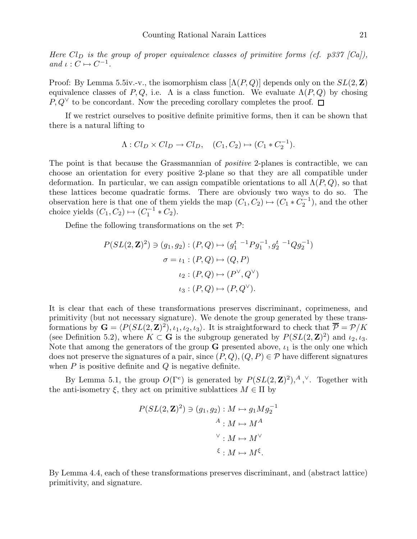*Here*  $Cl_D$  *is the group of proper equivalence classes of primitive forms (cf. p337 [Ca])*, *and*  $\iota : C \mapsto C^{-1}$ *.* 

Proof: By Lemma 5.5iv.-v., the isomorphism class  $[\Lambda(P,Q)]$  depends only on the  $SL(2,\mathbb{Z})$ equivalence classes of P, Q, i.e.  $\Lambda$  is a class function. We evaluate  $\Lambda(P,Q)$  by chosing  $P, Q^{\vee}$  to be concordant. Now the preceding corollary completes the proof. □

If we restrict ourselves to positive definite primitive forms, then it can be shown that there is a natural lifting to

$$
\Lambda: Cl_D \times Cl_D \to Cl_D, \quad (C_1, C_2) \mapsto (C_1 * C_2^{-1}).
$$

The point is that because the Grassmannian of *positive* 2-planes is contractible, we can choose an orientation for every positive 2-plane so that they are all compatible under deformation. In particular, we can assign compatible orientations to all  $\Lambda(P,Q)$ , so that these lattices become quadratic forms. There are obviously two ways to do so. The observation here is that one of them yields the map  $(C_1, C_2) \mapsto (C_1 * C_2^{-1})$ , and the other choice yields  $(C_1, C_2) \mapsto (C_1^{-1} * C_2)$ .

Define the following transformations on the set  $\mathcal{P}$ :

$$
P(SL(2, \mathbf{Z})^2) \ni (g_1, g_2) : (P, Q) \mapsto (g_1^{t-1} P g_1^{-1}, g_2^{t-1} Q g_2^{-1})
$$

$$
\sigma = \iota_1 : (P, Q) \mapsto (Q, P)
$$

$$
\iota_2 : (P, Q) \mapsto (P^{\vee}, Q^{\vee})
$$

$$
\iota_3 : (P, Q) \mapsto (P, Q^{\vee}).
$$

It is clear that each of these transformations preserves discriminant, coprimeness, and primitivity (but not necessary signature). We denote the group generated by these transformations by  $\mathbf{G} = \langle P(SL(2, \mathbf{Z})^2), \iota_1, \iota_2, \iota_3 \rangle$ . It is straightforward to check that  $\overline{\mathcal{P}} = \mathcal{P}/K$ (see Definition 5.2), where  $K \subset \mathbf{G}$  is the subgroup generated by  $P(SL(2, \mathbf{Z})^2)$  and  $\iota_2, \iota_3$ . Note that among the generators of the group  $G$  presented above,  $\iota_1$  is the only one which does not preserve the signatures of a pair, since  $(P,Q), (Q,P) \in \mathcal{P}$  have different signatures when  $P$  is positive definite and  $Q$  is negative definite.

By Lemma 5.1, the group  $O(\Gamma^e)$  is generated by  $P(SL(2, \mathbf{Z})^2), ^A$ ,  $\vee$ . Together with the anti-isometry  $\xi$ , they act on primitive sublattices  $M \in \Pi$  by

$$
P(SL(2, \mathbf{Z})^2) \ni (g_1, g_2) : M \mapsto g_1 M g_2^{-1}
$$

$$
A : M \mapsto M^A
$$

$$
\vee : M \mapsto M^{\vee}
$$

$$
\xi : M \mapsto M^{\xi}.
$$

By Lemma 4.4, each of these transformations preserves discriminant, and (abstract lattice) primitivity, and signature.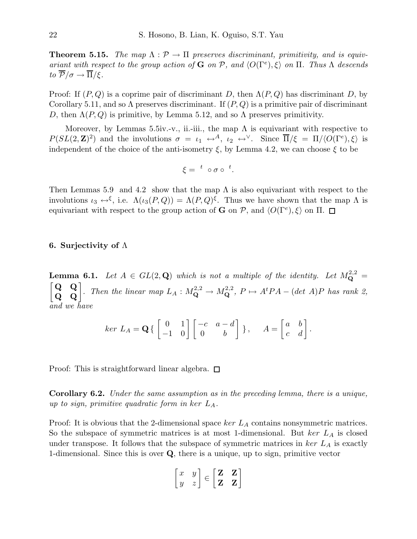**Theorem 5.15.** The map  $\Lambda : \mathcal{P} \to \Pi$  preserves discriminant, primitivity, and is equiv*ariant with respect to the group action of* **G** *on*  $P$ *, and*  $\langle O(\Gamma^e), \xi \rangle$  *on*  $\Pi$ *. Thus*  $\Lambda$  *descends to*  $\overline{\mathcal{P}}/\sigma \rightarrow \overline{\Pi}/\xi$ .

Proof: If  $(P,Q)$  is a coprime pair of discriminant D, then  $\Lambda(P,Q)$  has discriminant D, by Corollary 5.11, and so  $\Lambda$  preserves discriminant. If  $(P, Q)$  is a primitive pair of discriminant D, then  $\Lambda(P,Q)$  is primitive, by Lemma 5.12, and so  $\Lambda$  preserves primitivity.

Moreover, by Lemmas 5.5iv.-v., ii.-iii., the map  $\Lambda$  is equivariant with respective to  $P(SL(2,\mathbf{Z})^2)$  and the involutions  $\sigma = \iota_1 \leftrightarrow^A$ ,  $\iota_2 \leftrightarrow^{\vee}$ . Since  $\overline{\Pi}/\xi = \Pi/\langle O(\Gamma^e), \xi \rangle$  is independent of the choice of the anti-isometry  $\xi$ , by Lemma 4.2, we can choose  $\xi$  to be

$$
\xi = \ ^{t} \ \circ \sigma \circ \ ^{t}.
$$

Then Lemmas 5.9 and 4.2 show that the map  $\Lambda$  is also equivariant with respect to the involutions  $\iota_3 \leftrightarrow^{\xi}$ , i.e.  $\Lambda(\iota_3(P,Q)) = \Lambda(P,Q)^{\xi}$ . Thus we have shown that the map  $\Lambda$  is equivariant with respect to the group action of **G** on  $\mathcal{P}$ , and  $\langle O(\Gamma^e), \xi \rangle$  on  $\Pi$ .

#### 6. Surjectivity of Λ

**Lemma 6.1.** Let  $A \in GL(2, \mathbf{Q})$  which is not a multiple of the identity. Let  $M_{\mathbf{Q}}^{2,2} =$  $\begin{bmatrix} \mathbf{Q} & \mathbf{Q} \\ \mathbf{Q} & \mathbf{Q} \end{bmatrix}$ . Then the linear map  $L_A : M_{\mathbf{Q}}^{2,2} \to M_{\mathbf{Q}}^{2,2}$ ,  $P \mapsto A^t P A - (\det A)P$  has rank 2, *and we have*

$$
ker L_A = \mathbf{Q} \left\{ \begin{bmatrix} 0 & 1 \\ -1 & 0 \end{bmatrix} \begin{bmatrix} -c & a - d \\ 0 & b \end{bmatrix} \right\}, \quad A = \begin{bmatrix} a & b \\ c & d \end{bmatrix}.
$$

Proof: This is straightforward linear algebra.  $\square$ 

Corollary 6.2. *Under the same assumption as in the preceding lemma, there is a unique, up to sign, primitive quadratic form in* ker LA*.*

Proof: It is obvious that the 2-dimensional space ker  $L_A$  contains nonsymmetric matrices. So the subspace of symmetric matrices is at most 1-dimensional. But ker  $L_A$  is closed under transpose. It follows that the subspace of symmetric matrices in  $\ker L_A$  is exactly 1-dimensional. Since this is over  $Q$ , there is a unique, up to sign, primitive vector

$$
\begin{bmatrix} x & y \\ y & z \end{bmatrix} \in \begin{bmatrix} \mathbf{Z} & \mathbf{Z} \\ \mathbf{Z} & \mathbf{Z} \end{bmatrix}
$$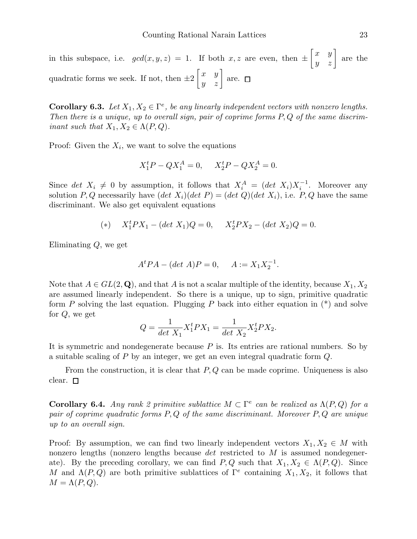in this subspace, i.e.  $gcd(x, y, z) = 1$ . If both  $x, z$  are even, then  $\pm \begin{bmatrix} x & y \\ y & z \end{bmatrix}$  are the quadratic forms we seek. If not, then  $\pm 2$  $\begin{bmatrix} x & y \\ y & z \end{bmatrix}$  are.

**Corollary 6.3.** Let  $X_1, X_2 \in \Gamma^e$ , be any linearly independent vectors with nonzero lengths. *Then there is a unique, up to overall sign, pair of coprime forms* P, Q *of the same discriminant such that*  $X_1, X_2 \in \Lambda(P,Q)$ *.* 

Proof: Given the  $X_i$ , we want to solve the equations

$$
X_1^t P - Q X_1^A = 0, \quad X_2^t P - Q X_2^A = 0.
$$

Since det  $X_i \neq 0$  by assumption, it follows that  $X_i^A = (det X_i)X_i^{-1}$ . Moreover any solution P, Q necessarily have  $(det X_i)(det P) = (det Q)(det X_i)$ , i.e. P, Q have the same discriminant. We also get equivalent equations

(\*) 
$$
X_1^t PX_1 - (\det X_1)Q = 0
$$
,  $X_2^t PX_2 - (\det X_2)Q = 0$ .

Eliminating Q, we get

$$
A^t P A - (\det A) P = 0, \quad A := X_1 X_2^{-1}.
$$

Note that  $A \in GL(2, \mathbf{Q})$ , and that A is not a scalar multiple of the identity, because  $X_1, X_2$ are assumed linearly independent. So there is a unique, up to sign, primitive quadratic form  $P$  solving the last equation. Plugging  $P$  back into either equation in  $(*)$  and solve for Q, we get

$$
Q = \frac{1}{\det X_1} X_1^t P X_1 = \frac{1}{\det X_2} X_2^t P X_2.
$$

It is symmetric and nondegenerate because P is. Its entries are rational numbers. So by a suitable scaling of P by an integer, we get an even integral quadratic form Q.

From the construction, it is clear that  $P, Q$  can be made coprime. Uniqueness is also clear.  $\square$ 

**Corollary 6.4.** *Any rank 2 primitive sublattice*  $M \subset \Gamma^e$  *can be realized as*  $\Lambda(P,Q)$  *for a pair of coprime quadratic forms* P, Q *of the same discriminant. Moreover* P, Q *are unique up to an overall sign.*

Proof: By assumption, we can find two linearly independent vectors  $X_1, X_2 \in M$  with nonzero lengths (nonzero lengths because det restricted to M is assumed nondegenerate). By the preceding corollary, we can find  $P, Q$  such that  $X_1, X_2 \in \Lambda(P, Q)$ . Since M and  $\Lambda(P,Q)$  are both primitive sublattices of  $\Gamma^e$  containing  $X_1, X_2$ , it follows that  $M = \Lambda(P,Q).$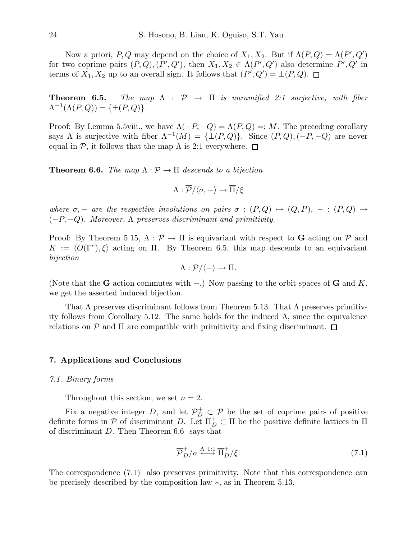Now a priori, P, Q may depend on the choice of  $X_1, X_2$ . But if  $\Lambda(P,Q) = \Lambda(P', Q')$ for two coprime pairs  $(P,Q)$ ,  $(P',Q')$ , then  $X_1, X_2 \in \Lambda(P',Q')$  also determine  $P', Q'$  in terms of  $X_1, X_2$  up to an overall sign. It follows that  $(P', Q') = \pm (P, Q)$ .

**Theorem 6.5.** *The map*  $\Lambda$  :  $\mathcal{P} \rightarrow \Pi$  *is unramified 2:1 surjective, with fiber*  $\Lambda^{-1}(\Lambda(P,Q)) = {\pm (P,Q)}.$ 

Proof: By Lemma 5.5viii., we have  $\Lambda(-P, -Q) = \Lambda(P, Q) =: M$ . The preceding corollary says  $\Lambda$  is surjective with fiber  $\Lambda^{-1}(M) = {\pm (P,Q)}$ . Since  $(P,Q), (-P, -Q)$  are never equal in P, it follows that the map  $\Lambda$  is 2:1 everywhere.  $\Box$ 

**Theorem 6.6.** *The map*  $\Lambda : \mathcal{P} \to \Pi$  *descends to a bijection* 

$$
\Lambda:\overline{\mathcal{P}}/\langle \sigma, -\rangle \rightarrow \overline{\Pi}/\xi
$$

*where*  $\sigma$ , – *are the respective involutions on pairs*  $\sigma : (P, Q) \mapsto (Q, P)$ , – :  $(P, Q) \mapsto$ (−P, −Q)*. Moreover,* Λ *preserves discriminant and primitivity.*

Proof: By Theorem 5.15,  $\Lambda : \mathcal{P} \to \Pi$  is equivariant with respect to G acting on  $\mathcal{P}$  and  $K := \langle O(\Gamma^e), \xi \rangle$  acting on  $\Pi$ . By Theorem 6.5, this map descends to an equivariant *bijection*

$$
\Lambda: \mathcal{P}/\langle - \rangle \to \Pi.
$$

(Note that the G action commutes with  $-$ .) Now passing to the orbit spaces of G and K, we get the asserted induced bijection.

That  $\Lambda$  preserves discriminant follows from Theorem 5.13. That  $\Lambda$  preserves primitivity follows from Corollary 5.12. The same holds for the induced  $\Lambda$ , since the equivalence relations on  $P$  and  $\Pi$  are compatible with primitivity and fixing discriminant.  $\Box$ 

#### 7. Applications and Conclusions

#### *7.1. Binary forms*

Throughout this section, we set  $n = 2$ .

Fix a negative integer D, and let  $\mathcal{P}_{D}^{+} \subset \mathcal{P}$  be the set of coprime pairs of positive definite forms in P of discriminant D. Let  $\Pi_D^+ \subset \Pi$  be the positive definite lattices in  $\Pi$ of discriminant D. Then Theorem 6.6 says that

$$
\overline{\mathcal{P}}_{D}^{+}/\sigma \xrightarrow{\Lambda 1:1} \overline{\Pi}_{D}^{+}/\xi. \tag{7.1}
$$

The correspondence (7.1) also preserves primitivity. Note that this correspondence can be precisely described by the composition law ∗, as in Theorem 5.13.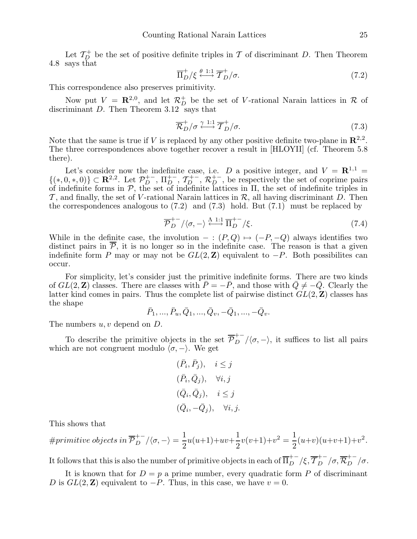Let  $\mathcal{T}_{D}^{+}$  be the set of positive definite triples in  $\mathcal T$  of discriminant D. Then Theorem 4.8 says that

$$
\overline{\Pi}_{D}^{+}/\xi \stackrel{\theta \ 1:1}{\longleftrightarrow} \overline{\mathcal{T}}_{D}^{+}/\sigma. \tag{7.2}
$$

This correspondence also preserves primitivity.

Now put  $V = \mathbb{R}^{2,0}$ , and let  $\mathcal{R}_D^+$  be the set of V-rational Narain lattices in  $\mathcal{R}$  of discriminant D. Then Theorem 3.12 says that

$$
\overline{\mathcal{R}}_D^+/\sigma \xrightarrow{\gamma \ 1:1} \overline{T}_D^+/\sigma. \tag{7.3}
$$

Note that the same is true if V is replaced by any other positive definite two-plane in  $\mathbb{R}^{2,2}$ . The three correspondences above together recover a result in [HLOYII] (cf. Theorem 5.8 there).

Let's consider now the indefinite case, i.e. D a positive integer, and  $V = \mathbb{R}^{1,1} =$  $\{(*,0,*,0)\}\subset \mathbf{R}^{2,2}$ . Let  $\mathcal{P}_{D}^{+-}$ ,  $\Pi_{D}^{+-}$ ,  $\mathcal{T}_{D}^{+-}$ ,  $\mathcal{R}_{D}^{+-}$ , be respectively the set of coprime pairs of indefinite forms in  $P$ , the set of indefinite lattices in  $\Pi$ , the set of indefinite triples in  $\mathcal{T}$ , and finally, the set of V-rational Narain lattices in  $\mathcal{R}$ , all having discriminant D. Then the correspondences analogous to (7.2) and (7.3) hold. But (7.1) must be replaced by

$$
\overline{\mathcal{P}}_{D}^{+-}/\langle \sigma, - \rangle \stackrel{\Lambda \text{ 1:1}}{\longleftrightarrow} \overline{\Pi}_{D}^{+-}/\xi. \tag{7.4}
$$

While in the definite case, the involution  $- : (P, Q) \mapsto (-P, -Q)$  always identifies two distinct pairs in  $\overline{P}$ , it is no longer so in the indefinite case. The reason is that a given indefinite form P may or may not be  $GL(2, \mathbb{Z})$  equivalent to  $-P$ . Both possibilites can occur.

For simplicity, let's consider just the primitive indefinite forms. There are two kinds of  $GL(2, \mathbb{Z})$  classes. There are classes with  $\overline{P} = -\overline{P}$ , and those with  $\overline{Q} \neq -\overline{Q}$ . Clearly the latter kind comes in pairs. Thus the complete list of pairwise distinct  $GL(2, \mathbb{Z})$  classes has the shape

$$
\bar{P}_1,...,\bar{P}_u,\bar{Q}_1,...,\bar{Q}_v,-\bar{Q}_1,...,-\bar{Q}_v.
$$

The numbers  $u, v$  depend on  $D$ .

To describe the primitive objects in the set  $\overline{\mathcal{P}}_{D}^{+-}/\langle \sigma, -\rangle$ , it suffices to list all pairs which are not congruent modulo  $\langle \sigma, -\rangle$ . We get

$$
(\bar{P}_i, \bar{P}_j), \quad i \leq j
$$
  
\n
$$
(\bar{P}_i, \bar{Q}_j), \quad \forall i, j
$$
  
\n
$$
(\bar{Q}_i, \bar{Q}_j), \quad i \leq j
$$
  
\n
$$
(\bar{Q}_i, -\bar{Q}_j), \quad \forall i, j.
$$

This shows that

$$
\#primitive\ objects\ in\ \overline{\mathcal{P}}_D^{+-}/\langle \sigma,-\rangle=\frac{1}{2}u(u+1)+uv+\frac{1}{2}v(v+1)+v^2=\frac{1}{2}(u+v)(u+v+1)+v^2.
$$

It follows that this is also the number of primitive objects in each of  $\overline{\Pi}_{D}^{+-}/\xi$ ,  $\overline{\mathcal{T}}_{D}^{+-}/\sigma$ ,  $\overline{\mathcal{R}}_{D}^{+-}/\sigma$ .

It is known that for  $D = p$  a prime number, every quadratic form P of discriminant D is  $GL(2, \mathbb{Z})$  equivalent to  $-P$ . Thus, in this case, we have  $v = 0$ .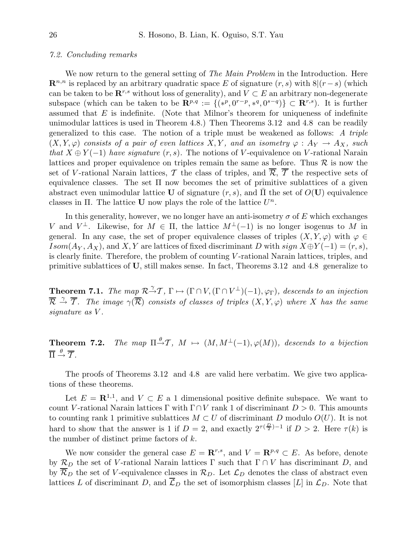#### *7.2. Concluding remarks*

We now return to the general setting of *The Main Problem* in the Introduction. Here  $\mathbb{R}^{n,n}$  is replaced by an arbitrary quadratic space E of signature  $(r, s)$  with  $8|(r - s)$  (which can be taken to be  $\mathbb{R}^{r,s}$  without loss of generality), and  $V \subset E$  an arbitrary non-degenerate subspace (which can be taken to be  $\mathbf{R}^{p,q} := \{(*^p, 0^{r-p}, *^q, 0^{s-q})\} \subset \mathbf{R}^{r,s}$ ). It is further assumed that  $E$  is indefinite. (Note that Milnor's theorem for uniqueness of indefinite unimodular lattices is used in Theorem 4.8.) Then Theorems 3.12 and 4.8 can be readily generalized to this case. The notion of a triple must be weakened as follows: *A triple*  $(X, Y, \varphi)$  *consists of a pair of even lattices*  $X, Y$ *, and an isometry*  $\varphi : A_Y \to A_X$ *, such that*  $X \oplus Y(-1)$  *have signature*  $(r, s)$ . The notions of V-equivalence on V-rational Narain lattices and proper equivalence on triples remain the same as before. Thus  $R$  is now the set of V-rational Narain lattices, T the class of triples, and  $\overline{\mathcal{R}}, \overline{\mathcal{T}}$  the respective sets of equivalence classes. The set  $\Pi$  now becomes the set of primitive sublattices of a given abstract even unimodular lattice U of signature  $(r, s)$ , and  $\Pi$  the set of  $O(U)$  equivalence classes in  $\Pi$ . The lattice **U** now plays the role of the lattice  $U^n$ .

In this generality, however, we no longer have an anti-isometry  $\sigma$  of E which exchanges V and  $V^{\perp}$ . Likewise, for  $M \in \Pi$ , the lattice  $M^{\perp}(-1)$  is no longer isogenus to M in general. In any case, the set of proper equivalence classes of triples  $(X, Y, \varphi)$  with  $\varphi \in$ Isom( $A_Y, A_X$ ), and X, Y are lattices of fixed discriminant D with sign  $X \oplus Y(-1) = (r, s)$ , is clearly finite. Therefore, the problem of counting V-rational Narain lattices, triples, and primitive sublattices of U, still makes sense. In fact, Theorems 3.12 and 4.8 generalize to

**Theorem 7.1.** *The map*  $\mathcal{R}^{\mathcal{A}}\mathcal{T}$ ,  $\Gamma \mapsto (\Gamma \cap V, (\Gamma \cap V^{\perp})(-1), \varphi_{\Gamma})$ , descends to an injection  $\overline{\mathcal{R}} \stackrel{\gamma}{\to} \overline{\mathcal{T}}$ *. The image*  $\gamma(\overline{\mathcal{R}})$  *consists of classes of triples*  $(X, Y, \varphi)$  *where* X *has the same signature as* V *.*

Theorem 7.2. The map  $\Pi \stackrel{\theta}{\rightarrow} \mathcal{T}$ ,  $M \mapsto (M, M^{\perp}(-1), \varphi(M))$ , descends to a bijection  $\overline{\Pi} \stackrel{\theta}{\rightarrow} \overline{\mathcal{T}}$ *.* 

The proofs of Theorems 3.12 and 4.8 are valid here verbatim. We give two applications of these theorems.

Let  $E = \mathbb{R}^{1,1}$ , and  $V \subset E$  a 1 dimensional positive definite subspace. We want to count V-rational Narain lattices Γ with  $\Gamma \cap V$  rank 1 of discriminant  $D > 0$ . This amounts to counting rank 1 primitive sublattices  $M \subset U$  of discriminant D modulo  $O(U)$ . It is not hard to show that the answer is 1 if  $D=2$ , and exactly  $2^{\tau(\frac{D}{2})-1}$  if  $D>2$ . Here  $\tau(k)$  is the number of distinct prime factors of  $k$ .

We now consider the general case  $E = \mathbb{R}^{r,s}$ , and  $V = \mathbb{R}^{p,q} \subset E$ . As before, denote by  $\mathcal{R}_D$  the set of V-rational Narain lattices Γ such that  $\Gamma \cap V$  has discriminant D, and by  $\overline{\mathcal{R}}_D$  the set of V-equivalence classes in  $\mathcal{R}_D$ . Let  $\mathcal{L}_D$  denotes the class of abstract even lattices L of discriminant D, and  $\overline{\mathcal{L}}_D$  the set of isomorphism classes [L] in  $\mathcal{L}_D$ . Note that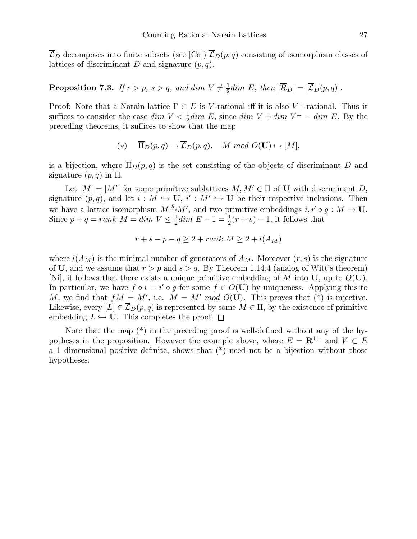$\overline{\mathcal{L}}_D$  decomposes into finite subsets (see [Ca])  $\overline{\mathcal{L}}_D(p,q)$  consisting of isomorphism classes of lattices of discriminant D and signature  $(p, q)$ .

#### **Proposition 7.3.** If  $r > p$ ,  $s > q$ , and dim  $V \neq \frac{1}{2}$  $\frac{1}{2}$ dim E, then  $|\mathcal{R}_D| = |\mathcal{L}_D(p,q)|$ .

Proof: Note that a Narain lattice  $\Gamma \subset E$  is V-rational iff it is also V<sup> $\perp$ </sup>-rational. Thus it suffices to consider the case  $dim V < \frac{1}{2} dim E$ , since  $dim V + dim V^{\perp} = dim E$ . By the preceding theorems, it suffices to show that the map

$$
(*)\quad \overline{\Pi}_D(p,q)\to \overline{\mathcal{L}}_D(p,q),\quad M\ mod\ O(\mathbf{U})\mapsto [M],
$$

is a bijection, where  $\overline{\Pi}_D(p,q)$  is the set consisting of the objects of discriminant D and signature  $(p, q)$  in  $\overline{\Pi}$ .

Let  $[M] = [M']$  for some primitive sublattices  $M, M' \in \Pi$  of U with discriminant D, signature  $(p, q)$ , and let  $i : M \hookrightarrow U$ ,  $i' : M' \hookrightarrow U$  be their respective inclusions. Then we have a lattice isomorphism  $M \to M'$ , and two primitive embeddings  $i, i' \circ g : M \to U$ . Since  $p + q = rank M = dim V \leq \frac{1}{2}$  $\frac{1}{2}dim E - 1 = \frac{1}{2}(r + s) - 1$ , it follows that

$$
r + s - p - q \ge 2 + rank \ M \ge 2 + l(A_M)
$$

where  $l(A_M)$  is the minimal number of generators of  $A_M$ . Moreover  $(r, s)$  is the signature of U, and we assume that  $r > p$  and  $s > q$ . By Theorem 1.14.4 (analog of Witt's theorem) [Ni], it follows that there exists a unique primitive embedding of M into U, up to  $O(U)$ . In particular, we have  $f \circ i = i' \circ g$  for some  $f \in O(U)$  by uniqueness. Applying this to M, we find that  $fM = M'$ , i.e.  $M = M' \mod O(U)$ . This proves that  $(*)$  is injective. Likewise, every  $[L] \in \mathcal{L}_D(p,q)$  is represented by some  $M \in \Pi$ , by the existence of primitive embedding  $L \hookrightarrow U$ . This completes the proof.  $\square$ 

Note that the map (\*) in the preceding proof is well-defined without any of the hypotheses in the proposition. However the example above, where  $E = \mathbb{R}^{1,1}$  and  $V \subset E$ a 1 dimensional positive definite, shows that (\*) need not be a bijection without those hypotheses.